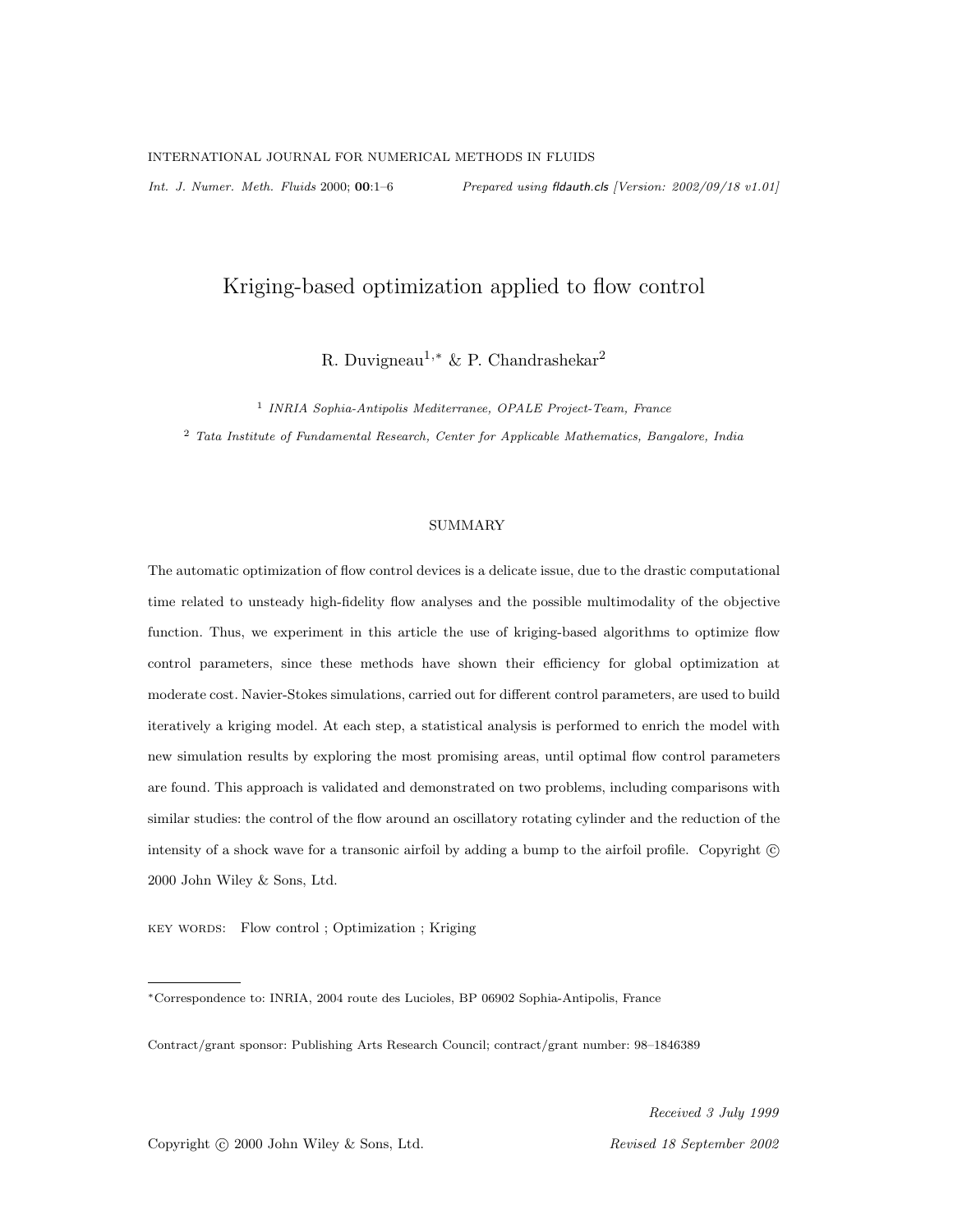*Int. J. Numer. Meth. Fluids* 2000; 00:1–6 *Prepared using* fldauth.cls *[Version: 2002/09/18 v1.01]*

# Kriging-based optimization applied to flow control

R. Duvigneau<sup>1,∗</sup> & P. Chandrashekar<sup>2</sup>

1 *INRIA Sophia-Antipolis Mediterranee, OPALE Project-Team, France* <sup>2</sup> *Tata Institute of Fundamental Research, Center for Applicable Mathematics, Bangalore, India*

# SUMMARY

The automatic optimization of flow control devices is a delicate issue, due to the drastic computational time related to unsteady high-fidelity flow analyses and the possible multimodality of the objective function. Thus, we experiment in this article the use of kriging-based algorithms to optimize flow control parameters, since these methods have shown their efficiency for global optimization at moderate cost. Navier-Stokes simulations, carried out for different control parameters, are used to build iteratively a kriging model. At each step, a statistical analysis is performed to enrich the model with new simulation results by exploring the most promising areas, until optimal flow control parameters are found. This approach is validated and demonstrated on two problems, including comparisons with similar studies: the control of the flow around an oscillatory rotating cylinder and the reduction of the intensity of a shock wave for a transonic airfoil by adding a bump to the airfoil profile. Copyright  $\circled{c}$ 2000 John Wiley & Sons, Ltd.

KEY WORDS: Flow control ; Optimization ; Kriging

Received 3 July 1999

Copyright © 2000 John Wiley & Sons, Ltd. Revised 18 September 2002

<sup>∗</sup>Correspondence to: INRIA, 2004 route des Lucioles, BP 06902 Sophia-Antipolis, France

Contract/grant sponsor: Publishing Arts Research Council; contract/grant number: 98–1846389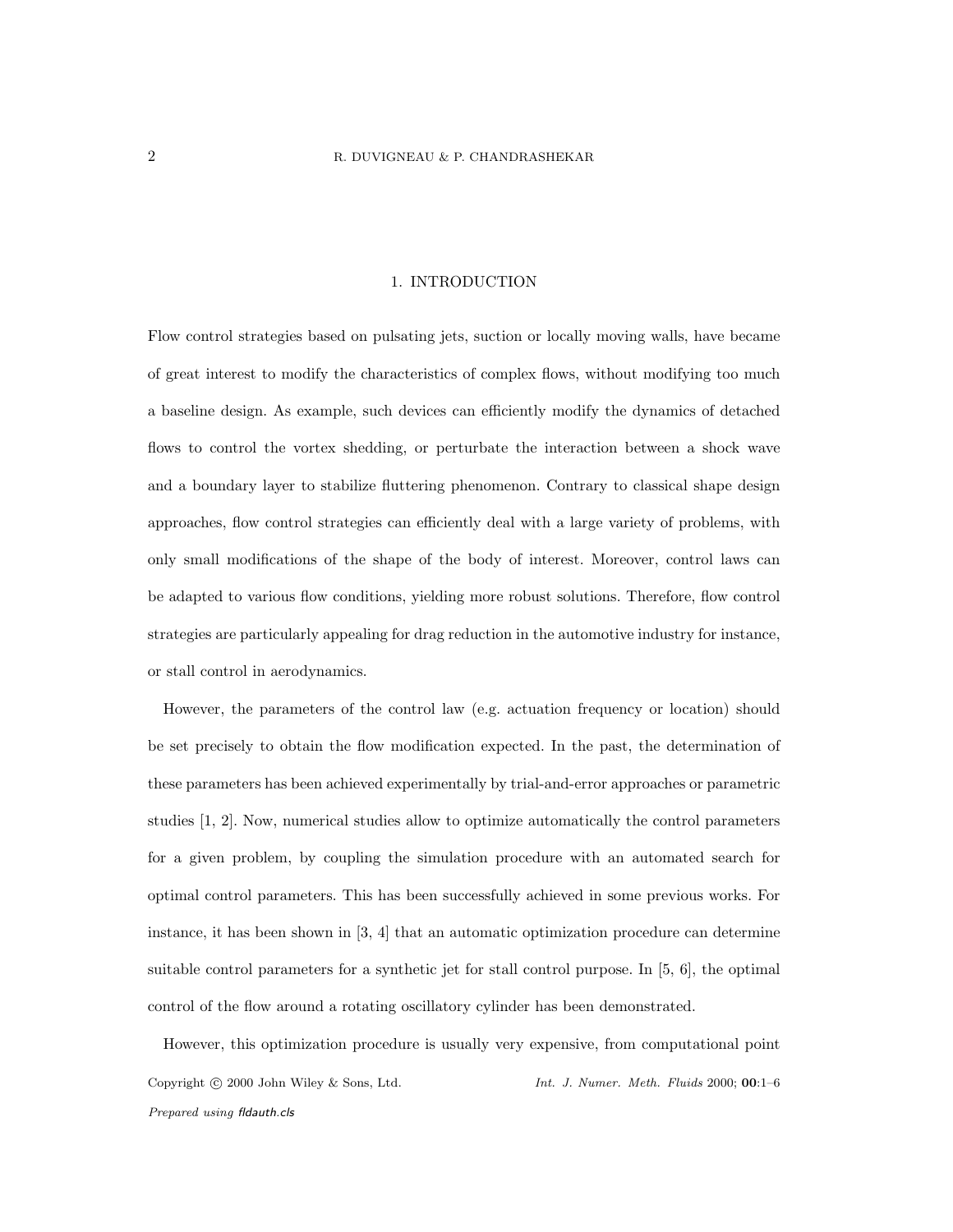# 1. INTRODUCTION

Flow control strategies based on pulsating jets, suction or locally moving walls, have became of great interest to modify the characteristics of complex flows, without modifying too much a baseline design. As example, such devices can efficiently modify the dynamics of detached flows to control the vortex shedding, or perturbate the interaction between a shock wave and a boundary layer to stabilize fluttering phenomenon. Contrary to classical shape design approaches, flow control strategies can efficiently deal with a large variety of problems, with only small modifications of the shape of the body of interest. Moreover, control laws can be adapted to various flow conditions, yielding more robust solutions. Therefore, flow control strategies are particularly appealing for drag reduction in the automotive industry for instance, or stall control in aerodynamics.

However, the parameters of the control law (e.g. actuation frequency or location) should be set precisely to obtain the flow modification expected. In the past, the determination of these parameters has been achieved experimentally by trial-and-error approaches or parametric studies [1, 2]. Now, numerical studies allow to optimize automatically the control parameters for a given problem, by coupling the simulation procedure with an automated search for optimal control parameters. This has been successfully achieved in some previous works. For instance, it has been shown in [3, 4] that an automatic optimization procedure can determine suitable control parameters for a synthetic jet for stall control purpose. In [5, 6], the optimal control of the flow around a rotating oscillatory cylinder has been demonstrated.

However, this optimization procedure is usually very expensive, from computational point Copyright c 2000 John Wiley & Sons, Ltd. *Int. J. Numer. Meth. Fluids* 2000; 00:1–6 *Prepared using* fldauth.cls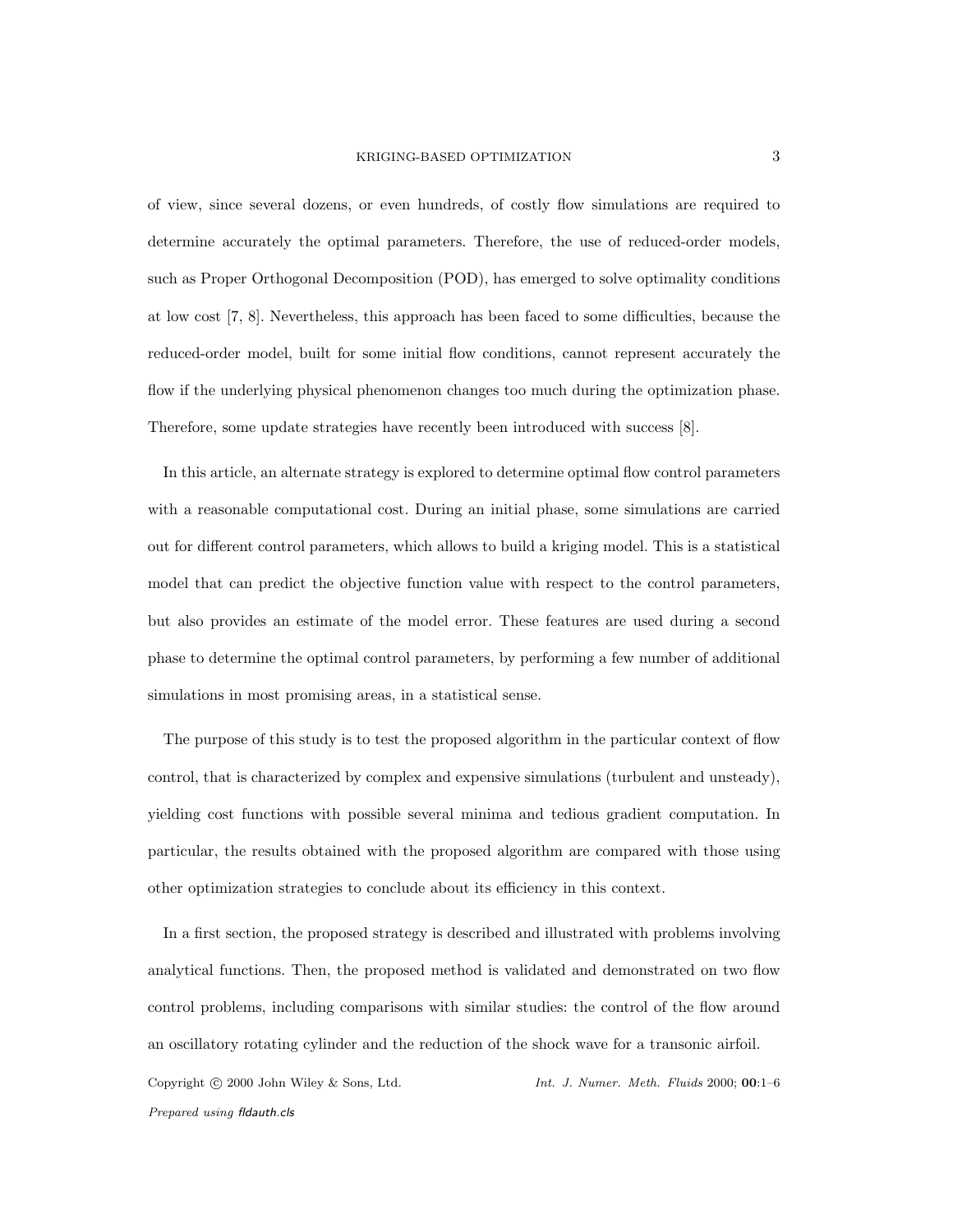of view, since several dozens, or even hundreds, of costly flow simulations are required to determine accurately the optimal parameters. Therefore, the use of reduced-order models, such as Proper Orthogonal Decomposition (POD), has emerged to solve optimality conditions at low cost [7, 8]. Nevertheless, this approach has been faced to some difficulties, because the reduced-order model, built for some initial flow conditions, cannot represent accurately the flow if the underlying physical phenomenon changes too much during the optimization phase. Therefore, some update strategies have recently been introduced with success [8].

In this article, an alternate strategy is explored to determine optimal flow control parameters with a reasonable computational cost. During an initial phase, some simulations are carried out for different control parameters, which allows to build a kriging model. This is a statistical model that can predict the objective function value with respect to the control parameters, but also provides an estimate of the model error. These features are used during a second phase to determine the optimal control parameters, by performing a few number of additional simulations in most promising areas, in a statistical sense.

The purpose of this study is to test the proposed algorithm in the particular context of flow control, that is characterized by complex and expensive simulations (turbulent and unsteady), yielding cost functions with possible several minima and tedious gradient computation. In particular, the results obtained with the proposed algorithm are compared with those using other optimization strategies to conclude about its efficiency in this context.

In a first section, the proposed strategy is described and illustrated with problems involving analytical functions. Then, the proposed method is validated and demonstrated on two flow control problems, including comparisons with similar studies: the control of the flow around an oscillatory rotating cylinder and the reduction of the shock wave for a transonic airfoil. Copyright c 2000 John Wiley & Sons, Ltd. *Int. J. Numer. Meth. Fluids* 2000; 00:1–6

*Prepared using* fldauth.cls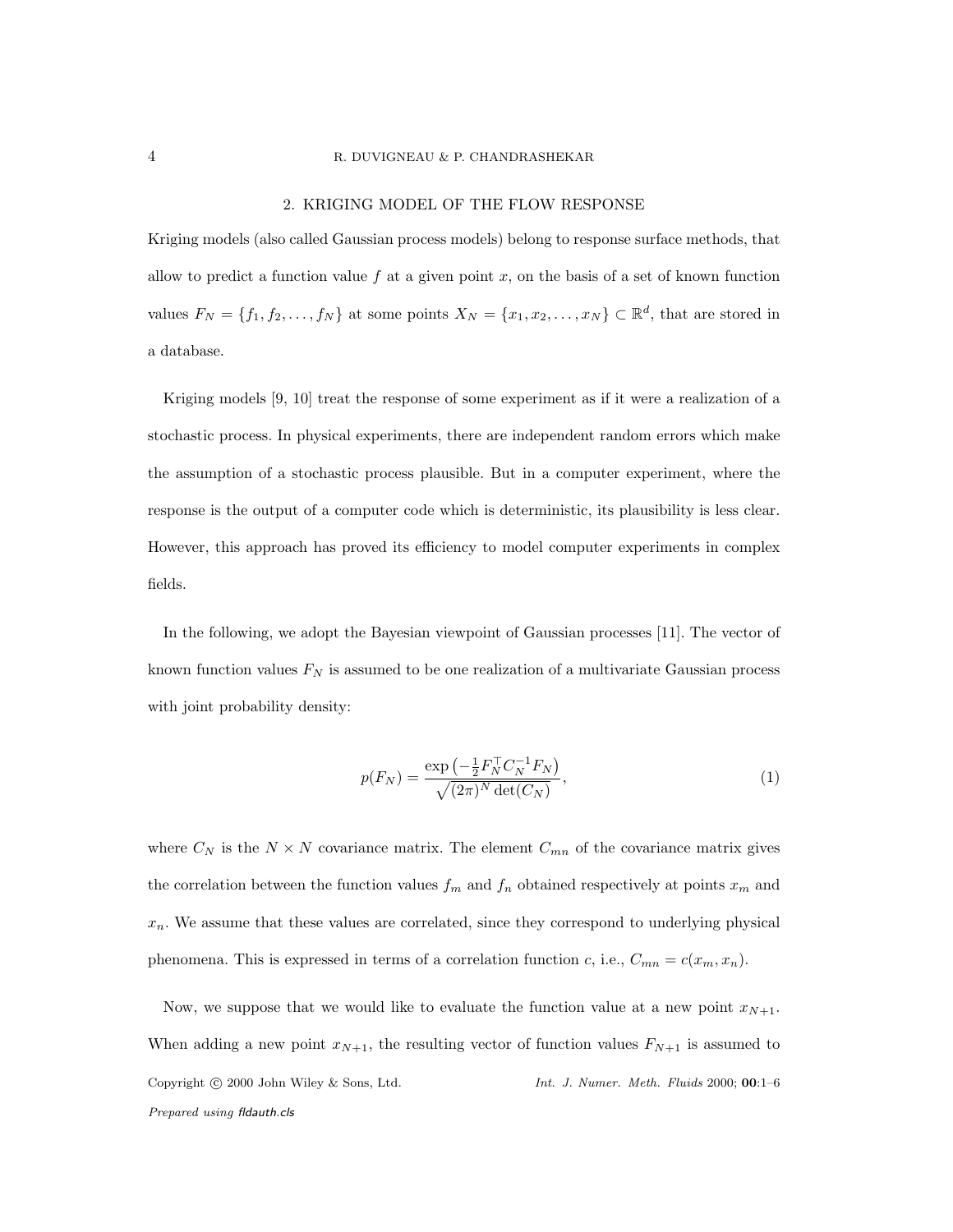### 4 R. DUVIGNEAU & P. CHANDRASHEKAR

# 2. KRIGING MODEL OF THE FLOW RESPONSE

Kriging models (also called Gaussian process models) belong to response surface methods, that allow to predict a function value f at a given point  $x$ , on the basis of a set of known function values  $F_N = \{f_1, f_2, \ldots, f_N\}$  at some points  $X_N = \{x_1, x_2, \ldots, x_N\} \subset \mathbb{R}^d$ , that are stored in a database.

Kriging models [9, 10] treat the response of some experiment as if it were a realization of a stochastic process. In physical experiments, there are independent random errors which make the assumption of a stochastic process plausible. But in a computer experiment, where the response is the output of a computer code which is deterministic, its plausibility is less clear. However, this approach has proved its efficiency to model computer experiments in complex fields.

In the following, we adopt the Bayesian viewpoint of Gaussian processes [11]. The vector of known function values  $F_N$  is assumed to be one realization of a multivariate Gaussian process with joint probability density:

$$
p(F_N) = \frac{\exp\left(-\frac{1}{2}F_N^{\top}C_N^{-1}F_N\right)}{\sqrt{(2\pi)^N \det(C_N)}},\tag{1}
$$

where  $C_N$  is the  $N \times N$  covariance matrix. The element  $C_{mn}$  of the covariance matrix gives the correlation between the function values  $f_m$  and  $f_n$  obtained respectively at points  $x_m$  and  $x_n$ . We assume that these values are correlated, since they correspond to underlying physical phenomena. This is expressed in terms of a correlation function c, i.e.,  $C_{mn} = c(x_m, x_n)$ .

Now, we suppose that we would like to evaluate the function value at a new point  $x_{N+1}$ . When adding a new point  $x_{N+1}$ , the resulting vector of function values  $F_{N+1}$  is assumed to Copyright c 2000 John Wiley & Sons, Ltd. *Int. J. Numer. Meth. Fluids* 2000; 00:1–6 *Prepared using* fldauth.cls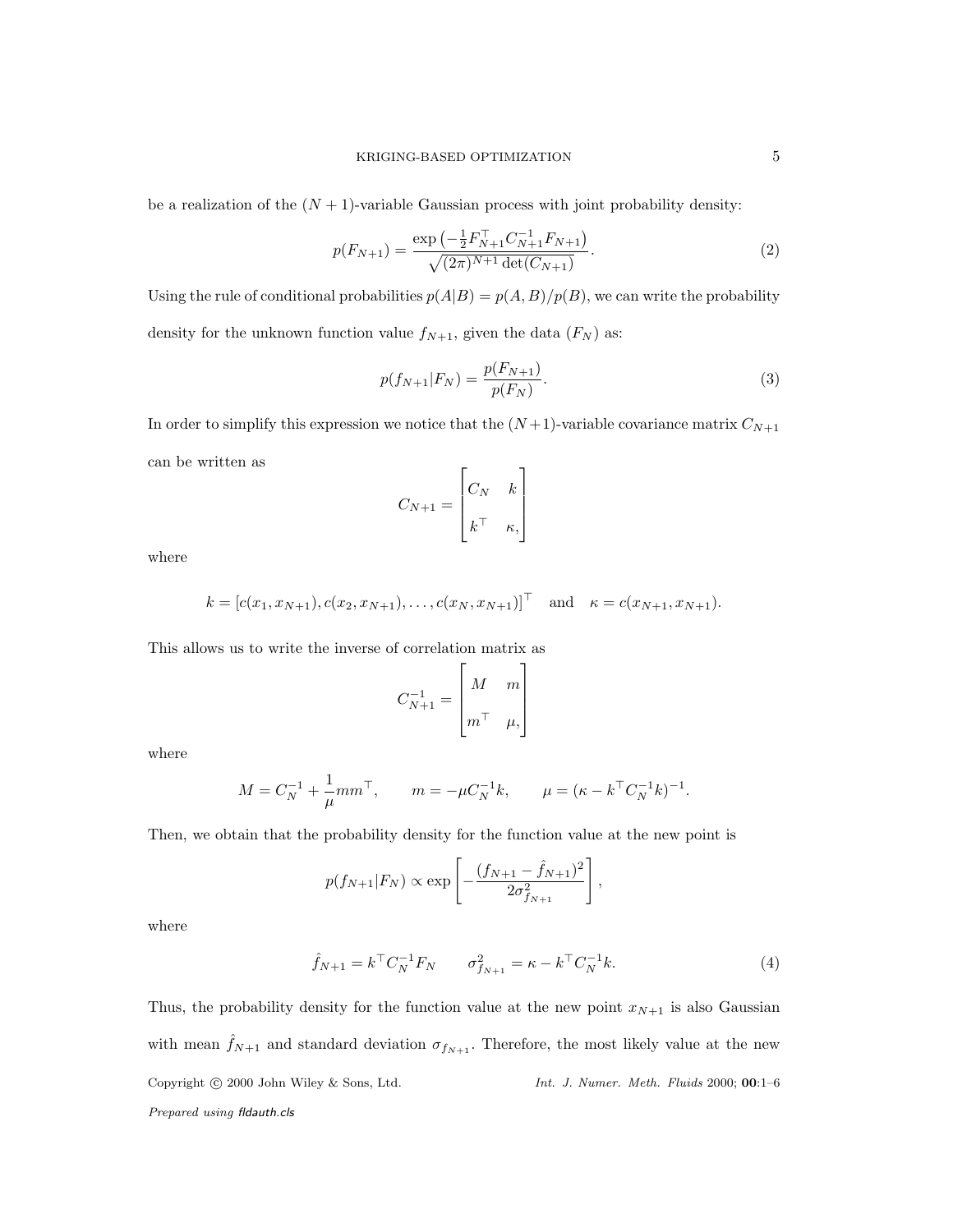be a realization of the  $(N + 1)$ -variable Gaussian process with joint probability density:

$$
p(F_{N+1}) = \frac{\exp\left(-\frac{1}{2}F_{N+1}^{\top}C_{N+1}^{-1}F_{N+1}\right)}{\sqrt{(2\pi)^{N+1}\det(C_{N+1})}}.\tag{2}
$$

Using the rule of conditional probabilities  $p(A|B) = p(A, B)/p(B)$ , we can write the probability density for the unknown function value  $f_{N+1}$ , given the data  $(F_N)$  as:

$$
p(f_{N+1}|F_N) = \frac{p(F_{N+1})}{p(F_N)}.
$$
\n(3)

In order to simplify this expression we notice that the  $(N+1)$ -variable covariance matrix  $C_{N+1}$ can be written as

$$
C_{N+1} = \begin{bmatrix} C_N & k \\ k^\top & \kappa, \end{bmatrix}
$$

where

$$
k = [c(x_1, x_{N+1}), c(x_2, x_{N+1}), \dots, c(x_N, x_{N+1})]^\top
$$
 and  $\kappa = c(x_{N+1}, x_{N+1}).$ 

This allows us to write the inverse of correlation matrix as

$$
C_{N+1}^{-1} = \begin{bmatrix} M & m \\ m^\top & \mu \end{bmatrix}
$$

where

$$
M = C_N^{-1} + \frac{1}{\mu} m m^{\top}, \qquad m = -\mu C_N^{-1} k, \qquad \mu = (\kappa - k^{\top} C_N^{-1} k)^{-1}.
$$

Then, we obtain that the probability density for the function value at the new point is

$$
p(f_{N+1}|F_N) \propto \exp\left[-\frac{(f_{N+1} - \hat{f}_{N+1})^2}{2\sigma_{f_{N+1}}^2}\right],
$$

where

$$
\hat{f}_{N+1} = k^{\top} C_N^{-1} F_N \qquad \sigma_{f_{N+1}}^2 = \kappa - k^{\top} C_N^{-1} k. \tag{4}
$$

Thus, the probability density for the function value at the new point  $x_{N+1}$  is also Gaussian with mean  $\hat{f}_{N+1}$  and standard deviation  $\sigma_{f_{N+1}}$ . Therefore, the most likely value at the new Copyright c 2000 John Wiley & Sons, Ltd. *Int. J. Numer. Meth. Fluids* 2000; 00:1–6 *Prepared using* fldauth.cls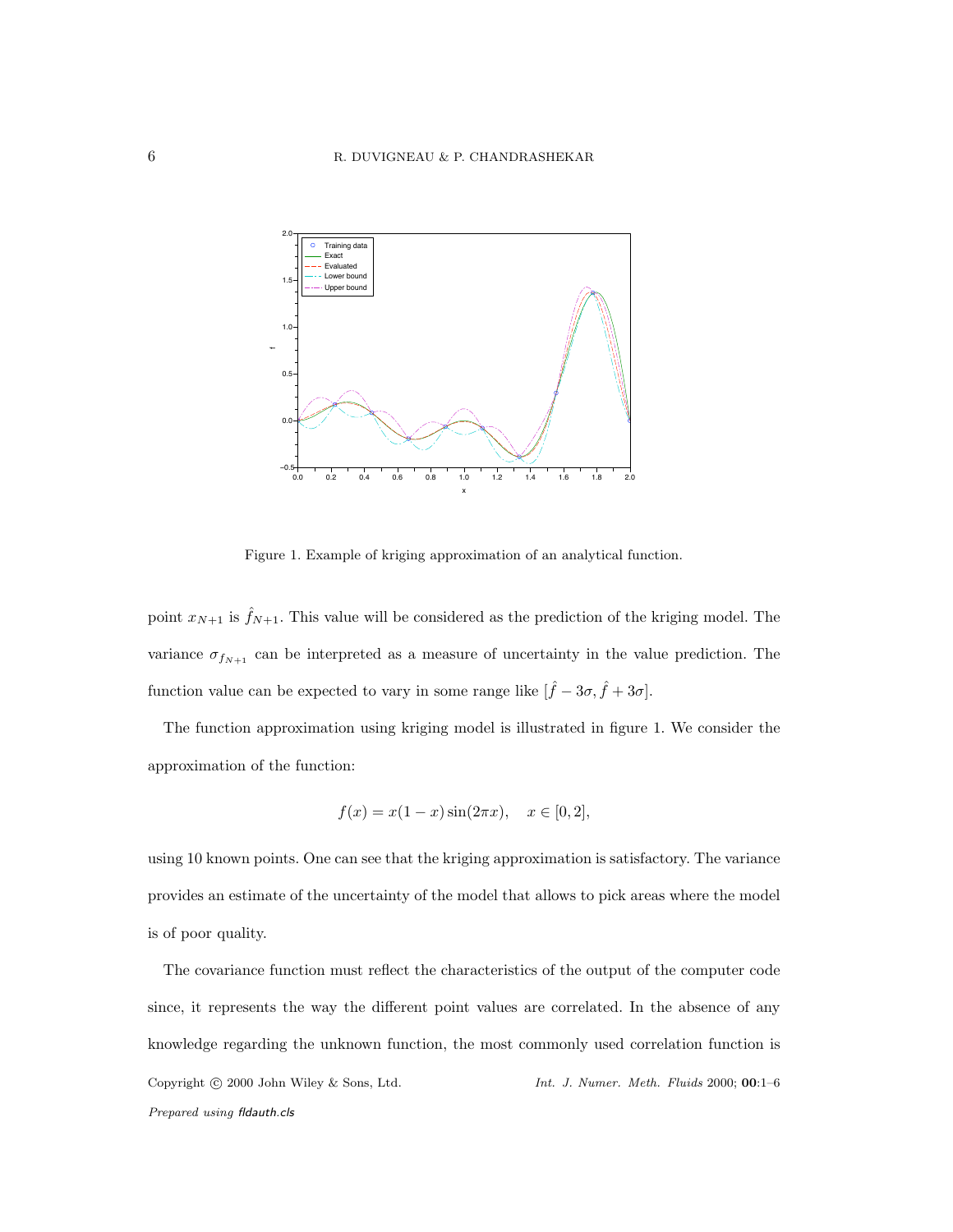

Figure 1. Example of kriging approximation of an analytical function.

point  $x_{N+1}$  is  $\hat{f}_{N+1}$ . This value will be considered as the prediction of the kriging model. The variance  $\sigma_{f_{N+1}}$  can be interpreted as a measure of uncertainty in the value prediction. The function value can be expected to vary in some range like  $[\hat{f} - 3\sigma, \hat{f} + 3\sigma]$ .

The function approximation using kriging model is illustrated in figure 1. We consider the approximation of the function:

$$
f(x) = x(1 - x)\sin(2\pi x), \quad x \in [0, 2],
$$

using 10 known points. One can see that the kriging approximation is satisfactory. The variance provides an estimate of the uncertainty of the model that allows to pick areas where the model is of poor quality.

The covariance function must reflect the characteristics of the output of the computer code since, it represents the way the different point values are correlated. In the absence of any knowledge regarding the unknown function, the most commonly used correlation function is Copyright c 2000 John Wiley & Sons, Ltd. *Int. J. Numer. Meth. Fluids* 2000; 00:1–6 *Prepared using* fldauth.cls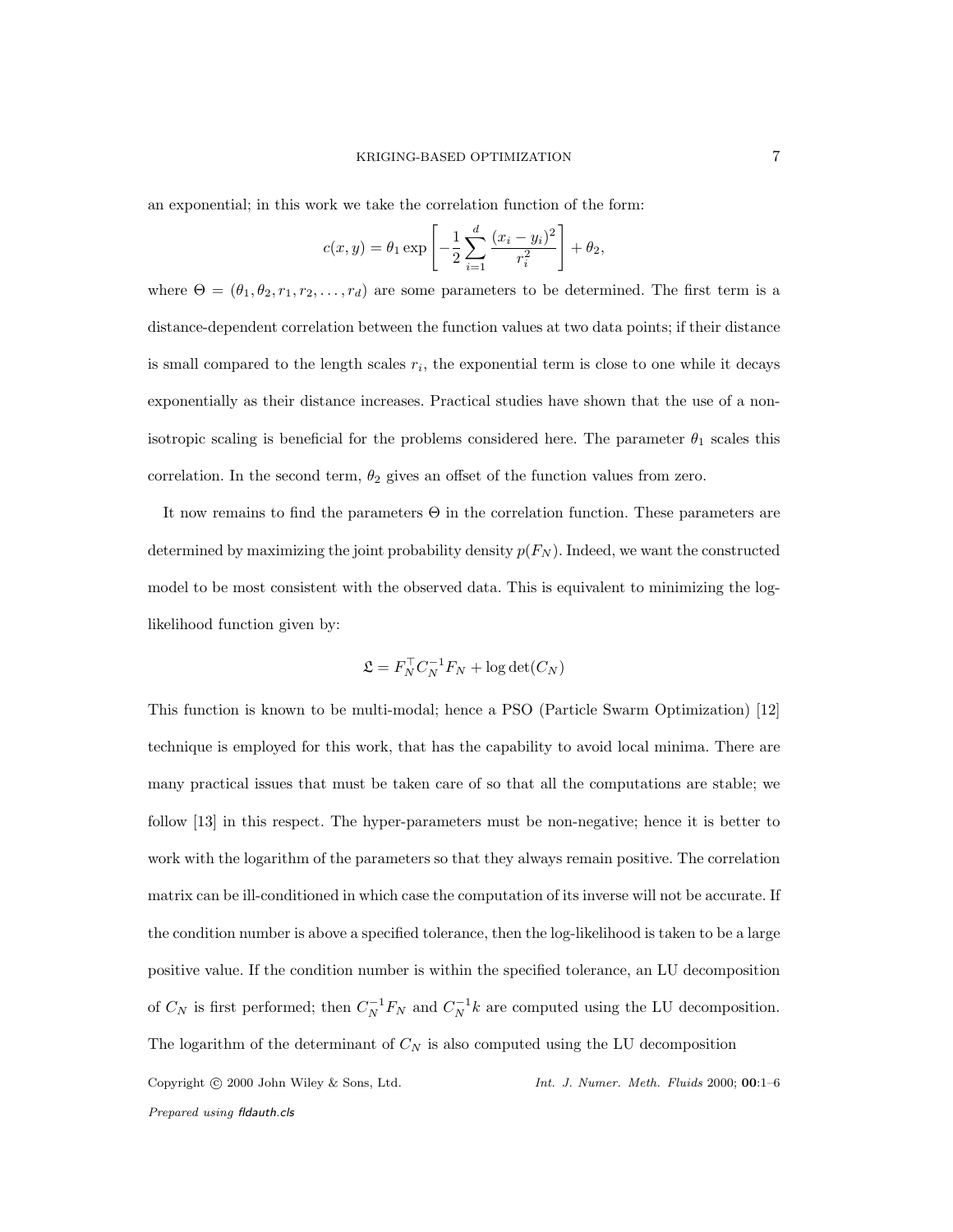an exponential; in this work we take the correlation function of the form:

$$
c(x,y) = \theta_1 \exp \left[ -\frac{1}{2} \sum_{i=1}^{d} \frac{(x_i - y_i)^2}{r_i^2} \right] + \theta_2,
$$

where  $\Theta = (\theta_1, \theta_2, r_1, r_2, \dots, r_d)$  are some parameters to be determined. The first term is a distance-dependent correlation between the function values at two data points; if their distance is small compared to the length scales  $r_i$ , the exponential term is close to one while it decays exponentially as their distance increases. Practical studies have shown that the use of a nonisotropic scaling is beneficial for the problems considered here. The parameter  $\theta_1$  scales this correlation. In the second term,  $\theta_2$  gives an offset of the function values from zero.

It now remains to find the parameters Θ in the correlation function. These parameters are determined by maximizing the joint probability density  $p(F_N)$ . Indeed, we want the constructed model to be most consistent with the observed data. This is equivalent to minimizing the loglikelihood function given by:

$$
\mathfrak{L}=F_N^\top C_N^{-1}F_N+\log\det(C_N)
$$

This function is known to be multi-modal; hence a PSO (Particle Swarm Optimization) [12] technique is employed for this work, that has the capability to avoid local minima. There are many practical issues that must be taken care of so that all the computations are stable; we follow [13] in this respect. The hyper-parameters must be non-negative; hence it is better to work with the logarithm of the parameters so that they always remain positive. The correlation matrix can be ill-conditioned in which case the computation of its inverse will not be accurate. If the condition number is above a specified tolerance, then the log-likelihood is taken to be a large positive value. If the condition number is within the specified tolerance, an LU decomposition of  $C_N$  is first performed; then  $C_N^{-1}F_N$  and  $C_N^{-1}k$  are computed using the LU decomposition. The logarithm of the determinant of  $C_N$  is also computed using the LU decomposition Copyright c 2000 John Wiley & Sons, Ltd. *Int. J. Numer. Meth. Fluids* 2000; 00:1–6 *Prepared using* fldauth.cls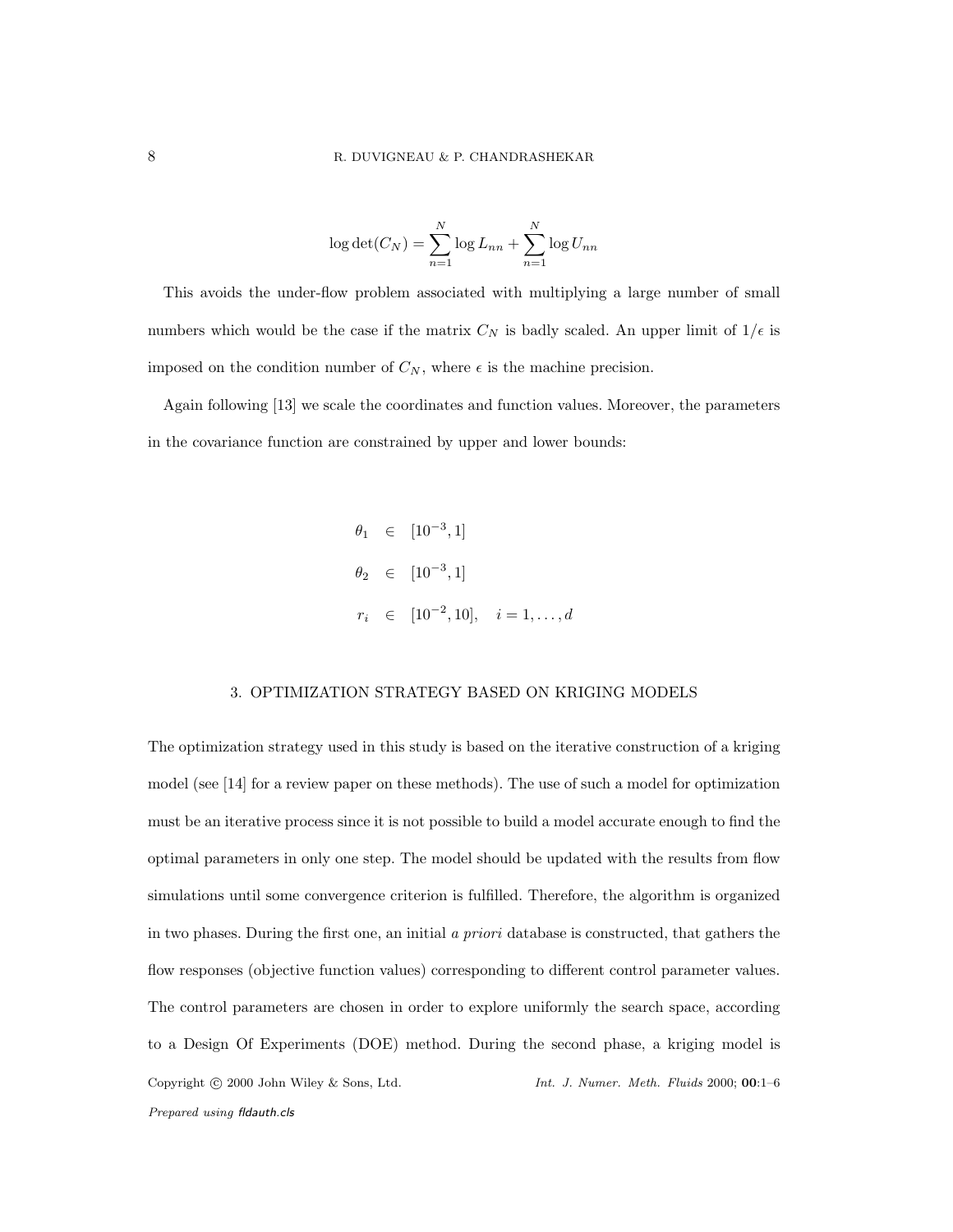$$
\log \det(C_N) = \sum_{n=1}^N \log L_{nn} + \sum_{n=1}^N \log U_{nn}
$$

This avoids the under-flow problem associated with multiplying a large number of small numbers which would be the case if the matrix  $C_N$  is badly scaled. An upper limit of  $1/\epsilon$  is imposed on the condition number of  $C_N$ , where  $\epsilon$  is the machine precision.

Again following [13] we scale the coordinates and function values. Moreover, the parameters in the covariance function are constrained by upper and lower bounds:

$$
\theta_1 \in [10^{-3}, 1]
$$
  
\n $\theta_2 \in [10^{-3}, 1]$   
\n $r_i \in [10^{-2}, 10], \quad i = 1, ..., d$ 

# 3. OPTIMIZATION STRATEGY BASED ON KRIGING MODELS

The optimization strategy used in this study is based on the iterative construction of a kriging model (see [14] for a review paper on these methods). The use of such a model for optimization must be an iterative process since it is not possible to build a model accurate enough to find the optimal parameters in only one step. The model should be updated with the results from flow simulations until some convergence criterion is fulfilled. Therefore, the algorithm is organized in two phases. During the first one, an initial a priori database is constructed, that gathers the flow responses (objective function values) corresponding to different control parameter values. The control parameters are chosen in order to explore uniformly the search space, according to a Design Of Experiments (DOE) method. During the second phase, a kriging model is Copyright c 2000 John Wiley & Sons, Ltd. *Int. J. Numer. Meth. Fluids* 2000; 00:1–6 *Prepared using* fldauth.cls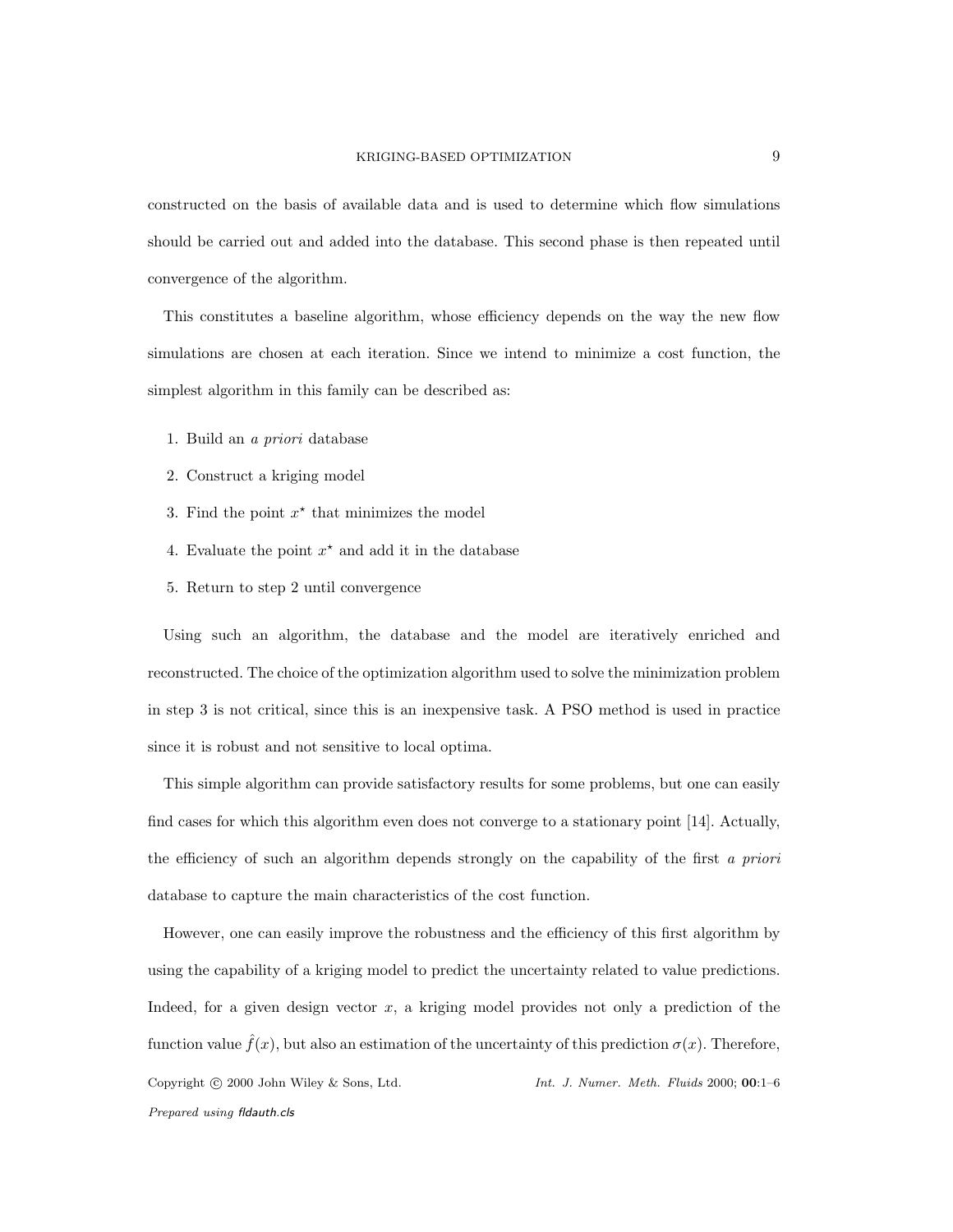constructed on the basis of available data and is used to determine which flow simulations should be carried out and added into the database. This second phase is then repeated until convergence of the algorithm.

This constitutes a baseline algorithm, whose efficiency depends on the way the new flow simulations are chosen at each iteration. Since we intend to minimize a cost function, the simplest algorithm in this family can be described as:

- 1. Build an a priori database
- 2. Construct a kriging model
- 3. Find the point  $x^*$  that minimizes the model
- 4. Evaluate the point  $x^*$  and add it in the database
- 5. Return to step 2 until convergence

Using such an algorithm, the database and the model are iteratively enriched and reconstructed. The choice of the optimization algorithm used to solve the minimization problem in step 3 is not critical, since this is an inexpensive task. A PSO method is used in practice since it is robust and not sensitive to local optima.

This simple algorithm can provide satisfactory results for some problems, but one can easily find cases for which this algorithm even does not converge to a stationary point [14]. Actually, the efficiency of such an algorithm depends strongly on the capability of the first a priori database to capture the main characteristics of the cost function.

However, one can easily improve the robustness and the efficiency of this first algorithm by using the capability of a kriging model to predict the uncertainty related to value predictions. Indeed, for a given design vector  $x$ , a kriging model provides not only a prediction of the function value  $\hat{f}(x)$ , but also an estimation of the uncertainty of this prediction  $\sigma(x)$ . Therefore, Copyright c 2000 John Wiley & Sons, Ltd. *Int. J. Numer. Meth. Fluids* 2000; 00:1–6 *Prepared using* fldauth.cls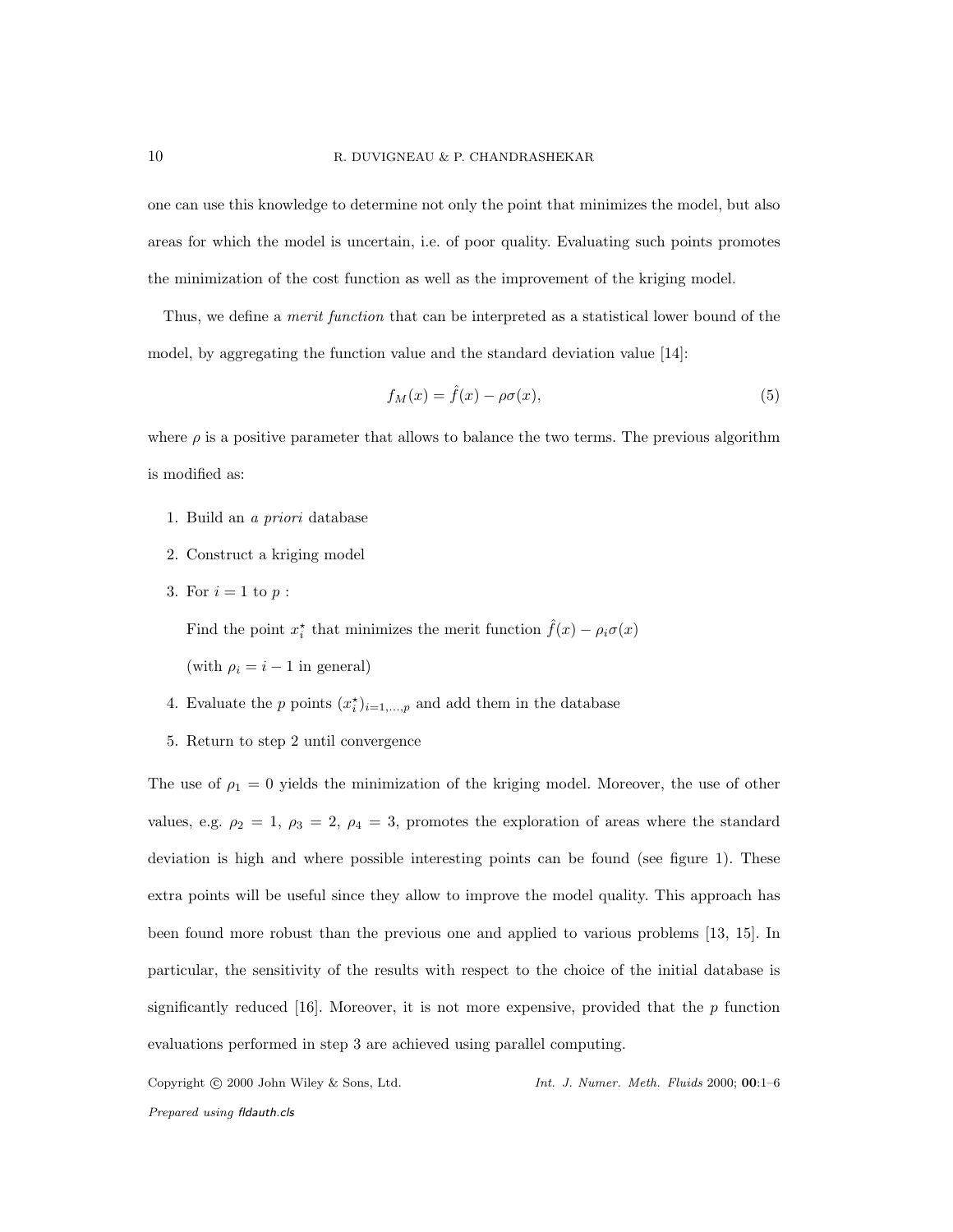one can use this knowledge to determine not only the point that minimizes the model, but also areas for which the model is uncertain, i.e. of poor quality. Evaluating such points promotes the minimization of the cost function as well as the improvement of the kriging model.

Thus, we define a *merit function* that can be interpreted as a statistical lower bound of the model, by aggregating the function value and the standard deviation value [14]:

$$
f_M(x) = \hat{f}(x) - \rho \sigma(x),\tag{5}
$$

where  $\rho$  is a positive parameter that allows to balance the two terms. The previous algorithm is modified as:

- 1. Build an a priori database
- 2. Construct a kriging model
- 3. For  $i = 1$  to  $p$  :

Find the point  $x_i^*$  that minimizes the merit function  $\hat{f}(x) - \rho_i \sigma(x)$ 

(with  $\rho_i = i - 1$  in general)

- 4. Evaluate the p points  $(x_i^*)_{i=1,\dots,p}$  and add them in the database
- 5. Return to step 2 until convergence

The use of  $\rho_1 = 0$  yields the minimization of the kriging model. Moreover, the use of other values, e.g.  $\rho_2 = 1$ ,  $\rho_3 = 2$ ,  $\rho_4 = 3$ , promotes the exploration of areas where the standard deviation is high and where possible interesting points can be found (see figure 1). These extra points will be useful since they allow to improve the model quality. This approach has been found more robust than the previous one and applied to various problems [13, 15]. In particular, the sensitivity of the results with respect to the choice of the initial database is significantly reduced [16]. Moreover, it is not more expensive, provided that the  $p$  function evaluations performed in step 3 are achieved using parallel computing.

Copyright c 2000 John Wiley & Sons, Ltd. *Int. J. Numer. Meth. Fluids* 2000; 00:1–6

*Prepared using* fldauth.cls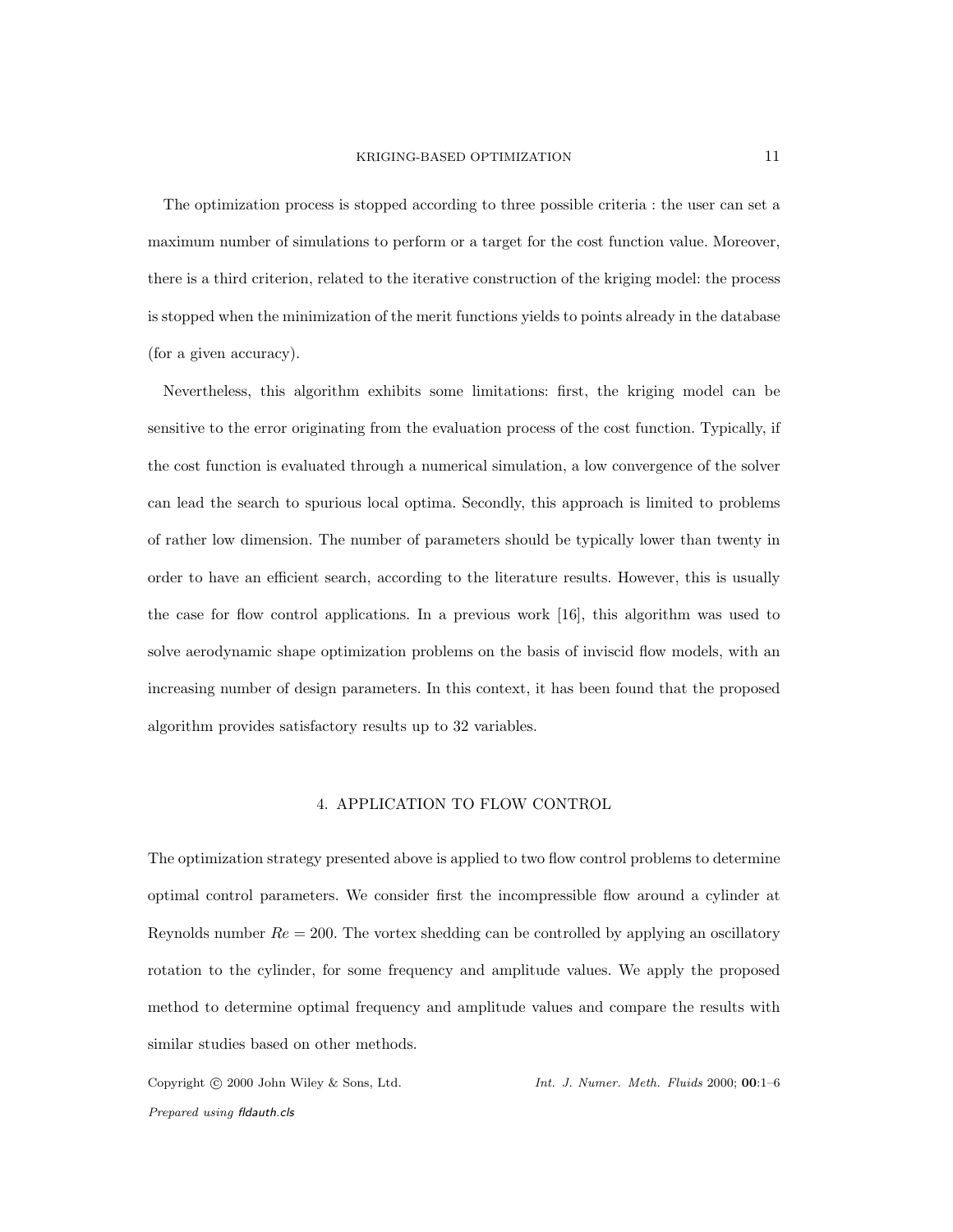The optimization process is stopped according to three possible criteria : the user can set a maximum number of simulations to perform or a target for the cost function value. Moreover, there is a third criterion, related to the iterative construction of the kriging model: the process is stopped when the minimization of the merit functions yields to points already in the database (for a given accuracy).

Nevertheless, this algorithm exhibits some limitations: first, the kriging model can be sensitive to the error originating from the evaluation process of the cost function. Typically, if the cost function is evaluated through a numerical simulation, a low convergence of the solver can lead the search to spurious local optima. Secondly, this approach is limited to problems of rather low dimension. The number of parameters should be typically lower than twenty in order to have an efficient search, according to the literature results. However, this is usually the case for flow control applications. In a previous work [16], this algorithm was used to solve aerodynamic shape optimization problems on the basis of inviscid flow models, with an increasing number of design parameters. In this context, it has been found that the proposed algorithm provides satisfactory results up to 32 variables.

#### 4. APPLICATION TO FLOW CONTROL

The optimization strategy presented above is applied to two flow control problems to determine optimal control parameters. We consider first the incompressible flow around a cylinder at Reynolds number  $Re = 200$ . The vortex shedding can be controlled by applying an oscillatory rotation to the cylinder, for some frequency and amplitude values. We apply the proposed method to determine optimal frequency and amplitude values and compare the results with similar studies based on other methods.

*Prepared using* fldauth.cls

Copyright c 2000 John Wiley & Sons, Ltd. *Int. J. Numer. Meth. Fluids* 2000; 00:1–6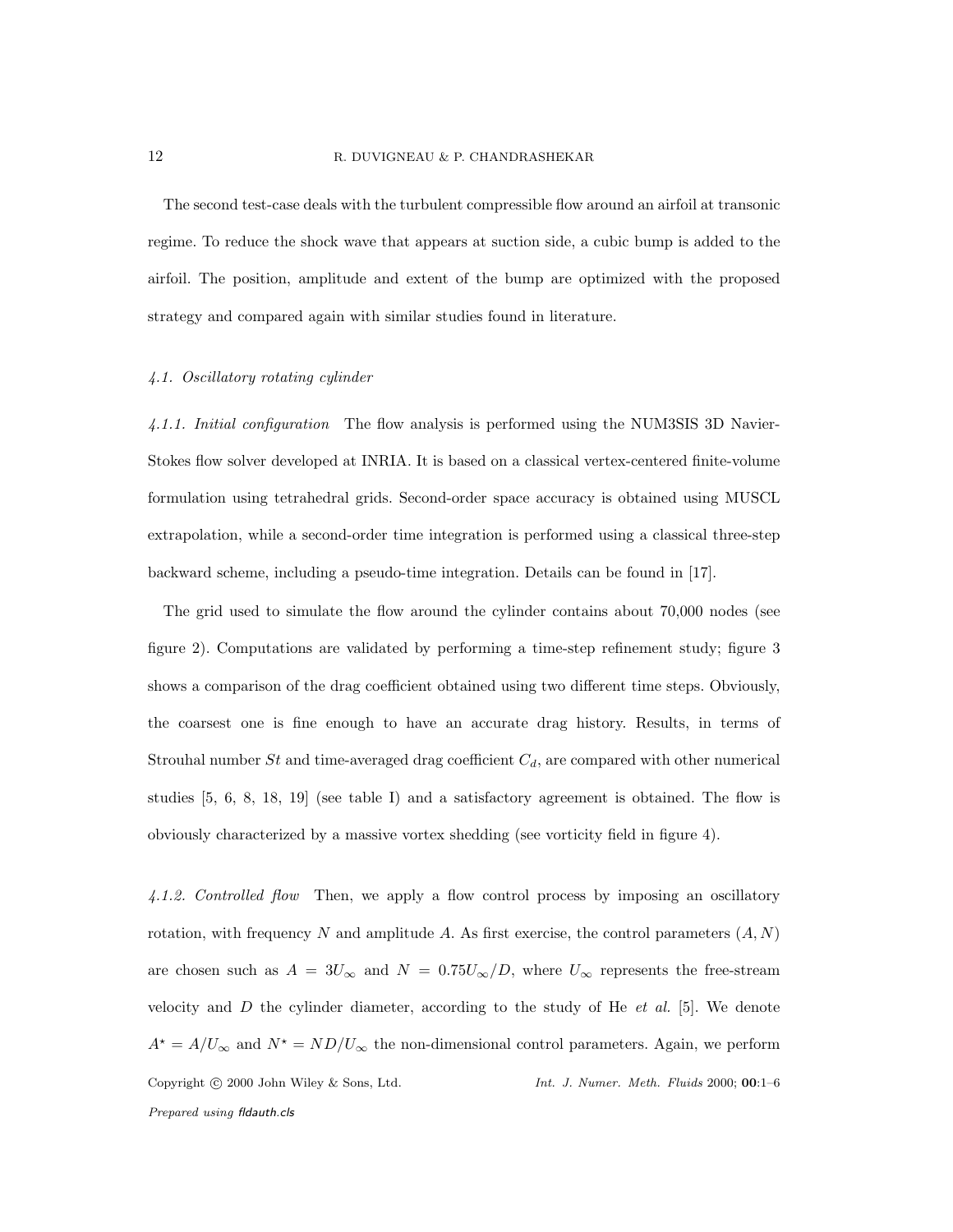#### 12 R. DUVIGNEAU & P. CHANDRASHEKAR

The second test-case deals with the turbulent compressible flow around an airfoil at transonic regime. To reduce the shock wave that appears at suction side, a cubic bump is added to the airfoil. The position, amplitude and extent of the bump are optimized with the proposed strategy and compared again with similar studies found in literature.

# 4.1. Oscillatory rotating cylinder

4.1.1. Initial configuration The flow analysis is performed using the NUM3SIS 3D Navier-Stokes flow solver developed at INRIA. It is based on a classical vertex-centered finite-volume formulation using tetrahedral grids. Second-order space accuracy is obtained using MUSCL extrapolation, while a second-order time integration is performed using a classical three-step backward scheme, including a pseudo-time integration. Details can be found in [17].

The grid used to simulate the flow around the cylinder contains about 70,000 nodes (see figure 2). Computations are validated by performing a time-step refinement study; figure 3 shows a comparison of the drag coefficient obtained using two different time steps. Obviously, the coarsest one is fine enough to have an accurate drag history. Results, in terms of Strouhal number  $St$  and time-averaged drag coefficient  $C_d$ , are compared with other numerical studies [5, 6, 8, 18, 19] (see table I) and a satisfactory agreement is obtained. The flow is obviously characterized by a massive vortex shedding (see vorticity field in figure 4).

4.1.2. Controlled flow Then, we apply a flow control process by imposing an oscillatory rotation, with frequency N and amplitude A. As first exercise, the control parameters  $(A, N)$ are chosen such as  $A = 3U_{\infty}$  and  $N = 0.75U_{\infty}/D$ , where  $U_{\infty}$  represents the free-stream velocity and  $D$  the cylinder diameter, according to the study of He *et al.* [5]. We denote  $A^* = A/U_\infty$  and  $N^* = ND/U_\infty$  the non-dimensional control parameters. Again, we perform Copyright c 2000 John Wiley & Sons, Ltd. *Int. J. Numer. Meth. Fluids* 2000; 00:1–6 *Prepared using* fldauth.cls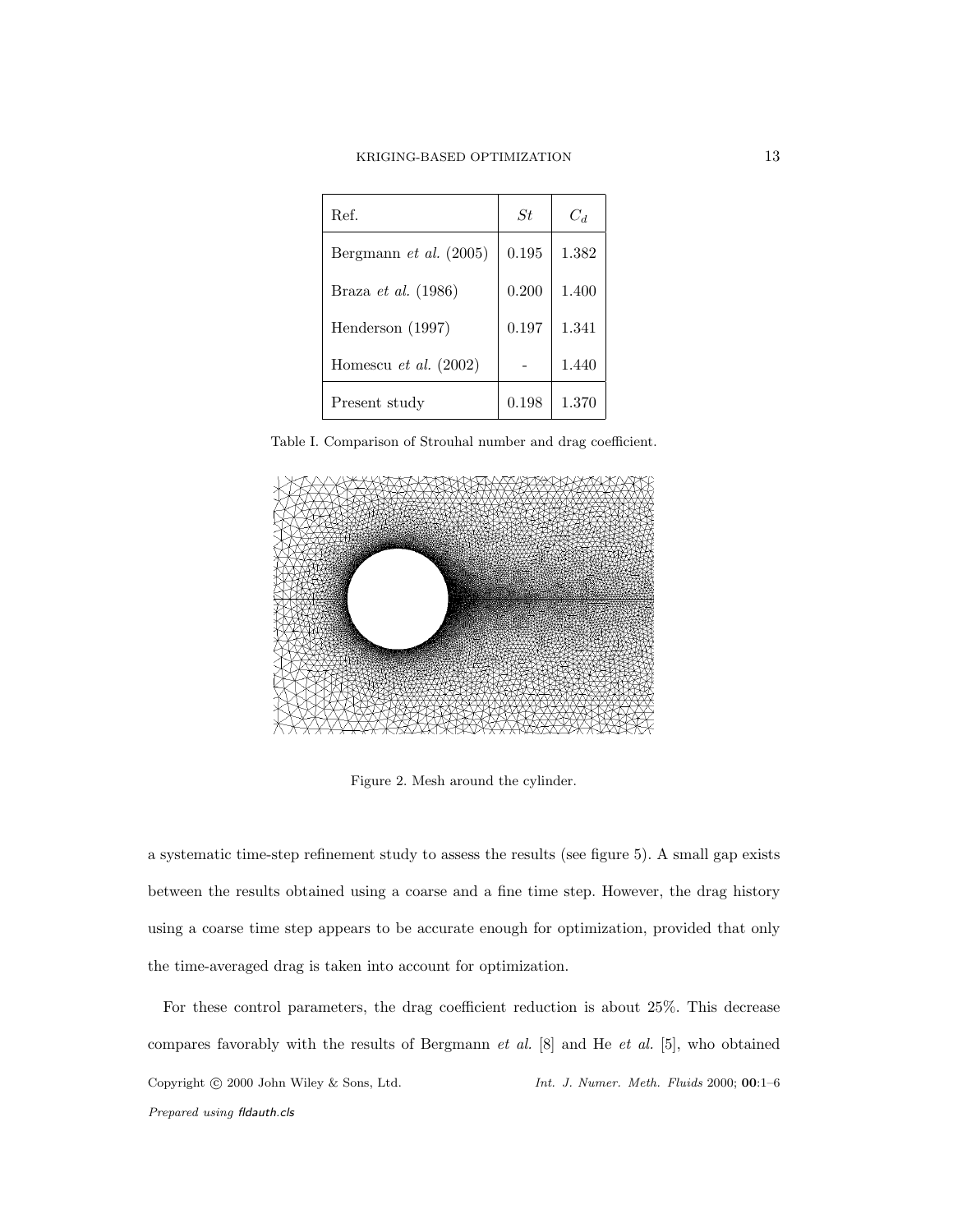| Ref.                            | St.   | Cл    |
|---------------------------------|-------|-------|
| Bergmann <i>et al.</i> $(2005)$ | 0.195 | 1.382 |
| Braza et al. (1986)             | 0.200 | 1.400 |
| Henderson (1997)                | 0.197 | 1.341 |
| Homescu et al. $(2002)$         |       | 1.440 |
| Present study                   | 0.198 | 1.370 |

Table I. Comparison of Strouhal number and drag coefficient.



Figure 2. Mesh around the cylinder.

a systematic time-step refinement study to assess the results (see figure 5). A small gap exists between the results obtained using a coarse and a fine time step. However, the drag history using a coarse time step appears to be accurate enough for optimization, provided that only the time-averaged drag is taken into account for optimization.

For these control parameters, the drag coefficient reduction is about 25%. This decrease compares favorably with the results of Bergmann *et al.* [8] and He *et al.* [5], who obtained Copyright c 2000 John Wiley & Sons, Ltd. *Int. J. Numer. Meth. Fluids* 2000; 00:1–6 *Prepared using* fldauth.cls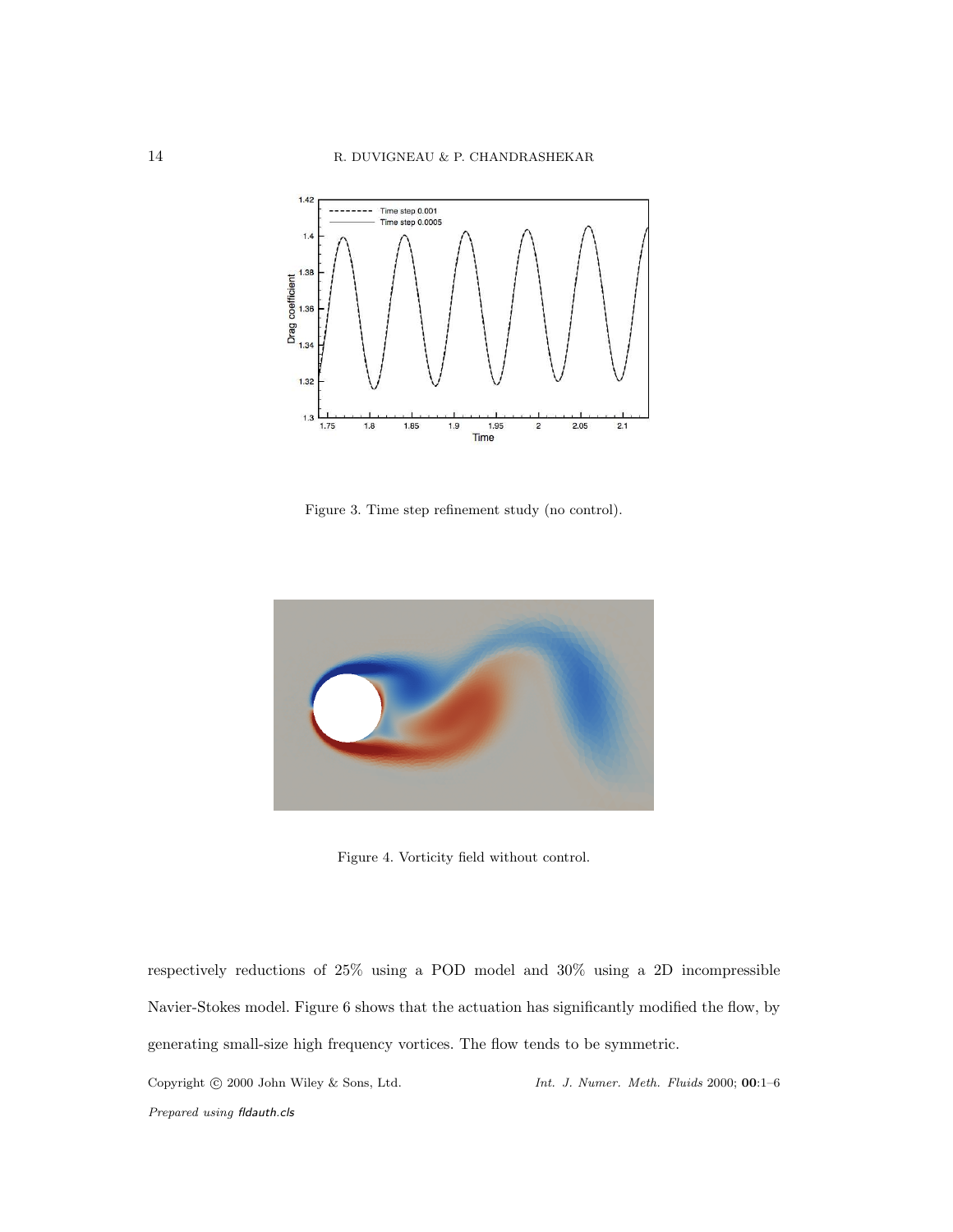

Figure 3. Time step refinement study (no control).



Figure 4. Vorticity field without control.

respectively reductions of 25% using a POD model and 30% using a 2D incompressible Navier-Stokes model. Figure 6 shows that the actuation has significantly modified the flow, by generating small-size high frequency vortices. The flow tends to be symmetric.

Copyright c 2000 John Wiley & Sons, Ltd. *Int. J. Numer. Meth. Fluids* 2000; 00:1–6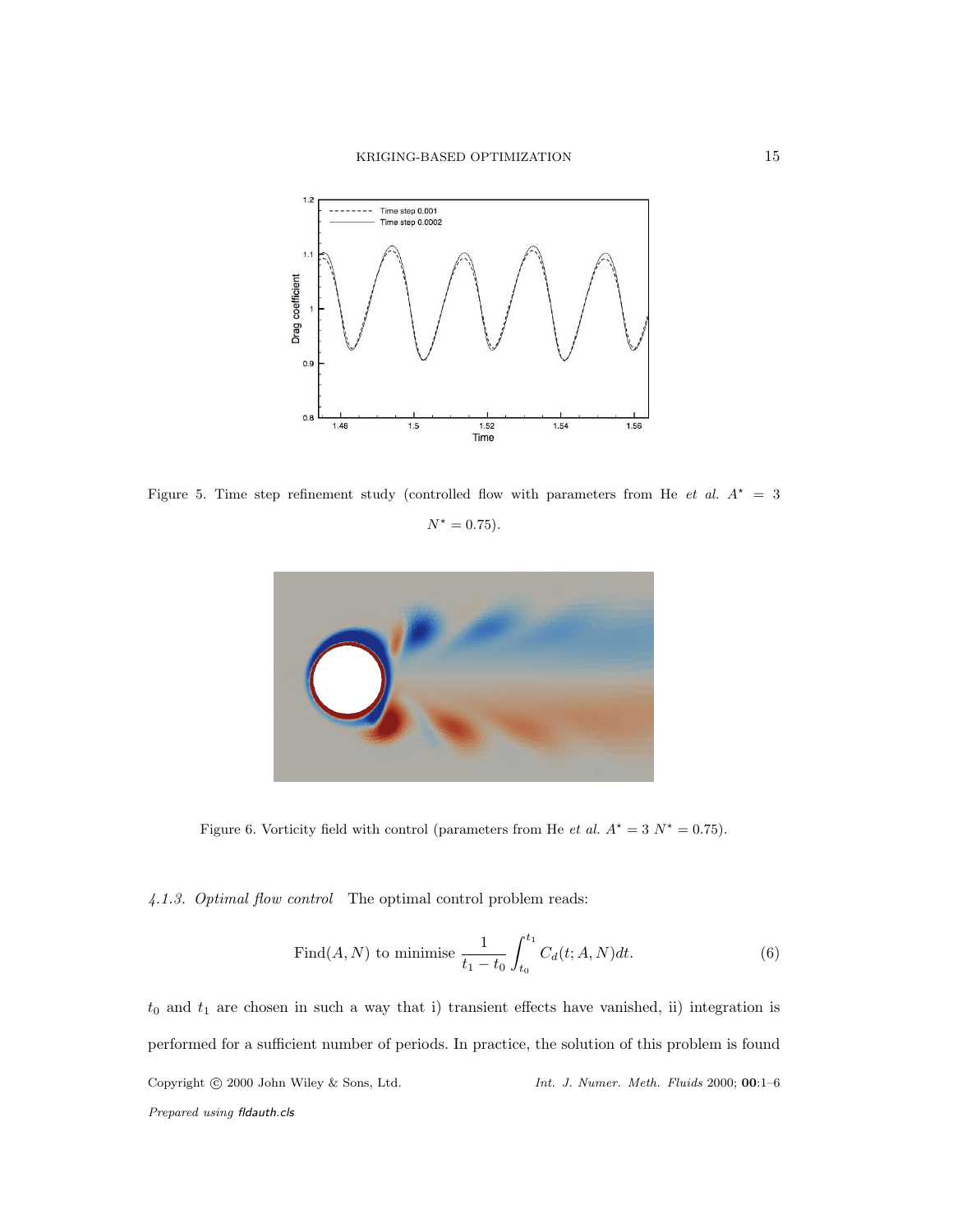

Figure 5. Time step refinement study (controlled flow with parameters from He et al.  $A^* = 3$ 

 $N^* = 0.75$ .



Figure 6. Vorticity field with control (parameters from He et al.  $A^* = 3 N^* = 0.75$ ).

4.1.3. Optimal flow control The optimal control problem reads:

Find
$$
(A, N)
$$
 to minimise  $\frac{1}{t_1 - t_0} \int_{t_0}^{t_1} C_d(t; A, N) dt.$  (6)

 $t_0$  and  $t_1$  are chosen in such a way that i) transient effects have vanished, ii) integration is performed for a sufficient number of periods. In practice, the solution of this problem is found Copyright c 2000 John Wiley & Sons, Ltd. *Int. J. Numer. Meth. Fluids* 2000; 00:1–6 *Prepared using* fldauth.cls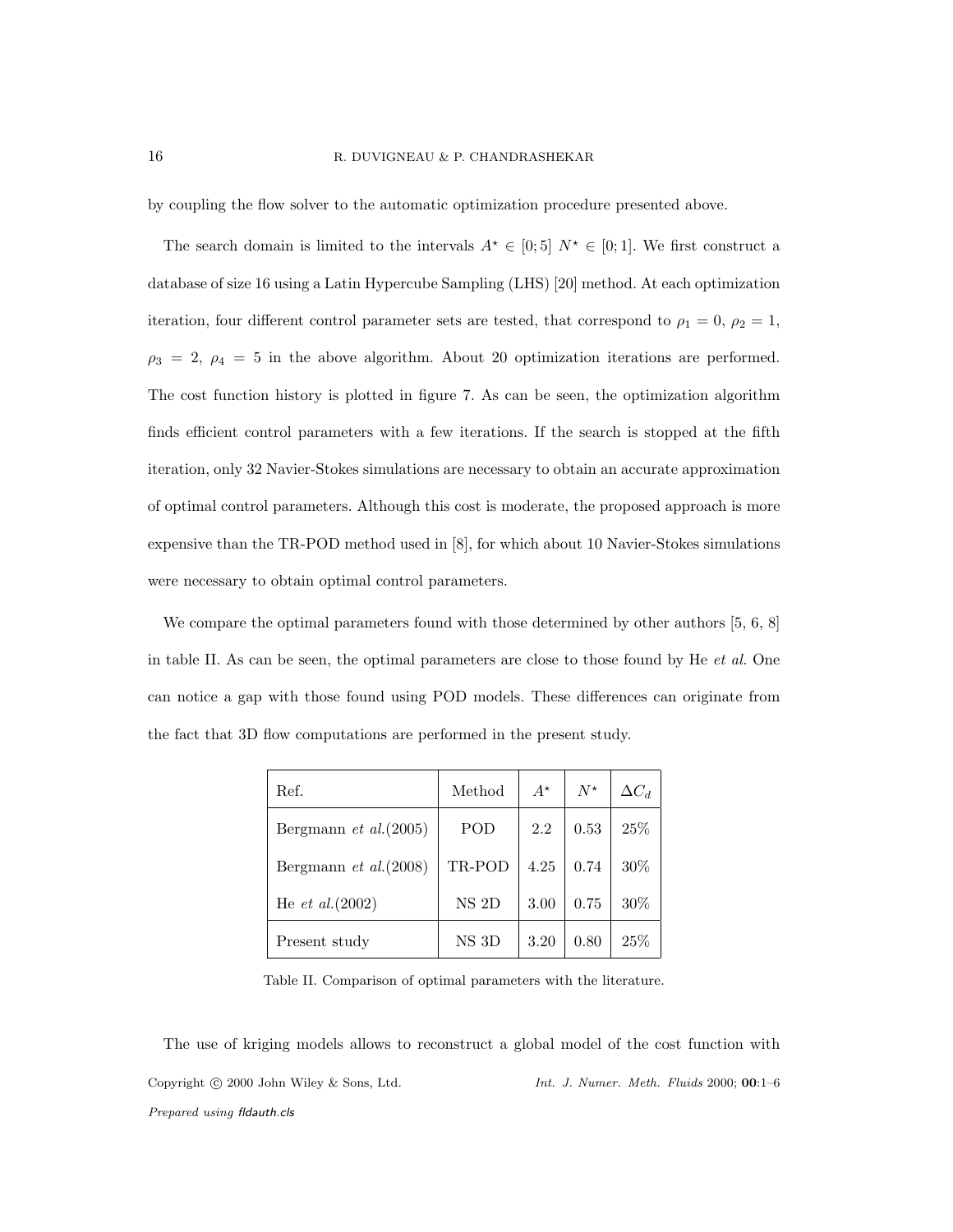by coupling the flow solver to the automatic optimization procedure presented above.

The search domain is limited to the intervals  $A^* \in [0,5]$   $N^* \in [0,1]$ . We first construct a database of size 16 using a Latin Hypercube Sampling (LHS) [20] method. At each optimization iteration, four different control parameter sets are tested, that correspond to  $\rho_1 = 0$ ,  $\rho_2 = 1$ ,  $\rho_3 = 2, \rho_4 = 5$  in the above algorithm. About 20 optimization iterations are performed. The cost function history is plotted in figure 7. As can be seen, the optimization algorithm finds efficient control parameters with a few iterations. If the search is stopped at the fifth iteration, only 32 Navier-Stokes simulations are necessary to obtain an accurate approximation of optimal control parameters. Although this cost is moderate, the proposed approach is more expensive than the TR-POD method used in [8], for which about 10 Navier-Stokes simulations were necessary to obtain optimal control parameters.

We compare the optimal parameters found with those determined by other authors [5, 6, 8] in table II. As can be seen, the optimal parameters are close to those found by He et al. One can notice a gap with those found using POD models. These differences can originate from the fact that 3D flow computations are performed in the present study.

| Ref.                          | Method    | $A^{\star}$ | $N^{\star}$ | $\Delta C_d$ |
|-------------------------------|-----------|-------------|-------------|--------------|
| Bergmann <i>et al.</i> (2005) | POD       | 2.2         | 0.53        | 25\%         |
| Bergmann et $al. (2008)$      | TR-POD    | 4.25        | 0.74        | 30%          |
| He <i>et al.</i> (2002)       | $NS$ $2D$ | 3.00        | 0.75        | 30%          |
| Present study                 | NS 3D     | 3.20        | 0.80        | 25%          |

Table II. Comparison of optimal parameters with the literature.

The use of kriging models allows to reconstruct a global model of the cost function with Copyright c 2000 John Wiley & Sons, Ltd. *Int. J. Numer. Meth. Fluids* 2000; 00:1–6 *Prepared using* fldauth.cls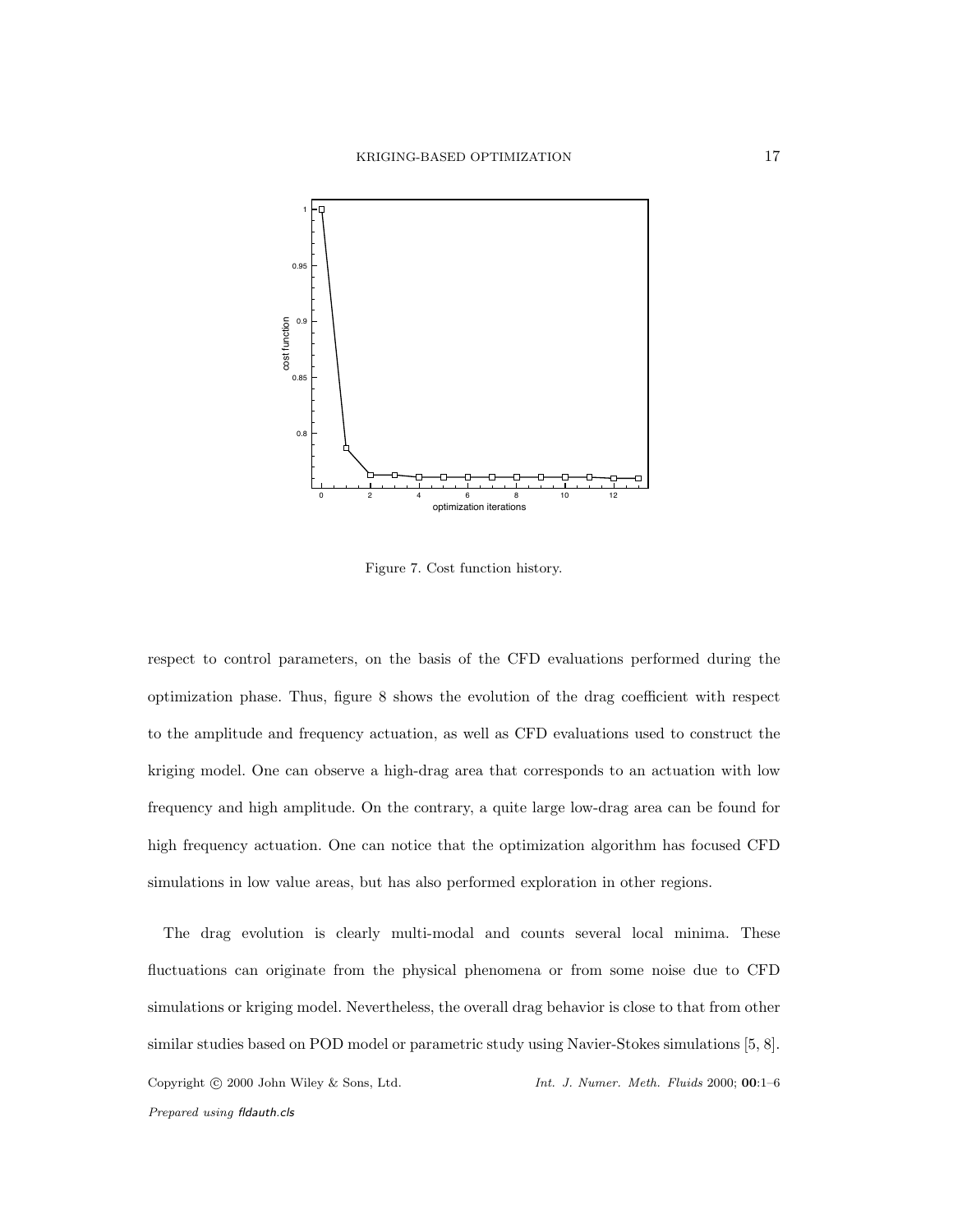

Figure 7. Cost function history.

respect to control parameters, on the basis of the CFD evaluations performed during the optimization phase. Thus, figure 8 shows the evolution of the drag coefficient with respect to the amplitude and frequency actuation, as well as CFD evaluations used to construct the kriging model. One can observe a high-drag area that corresponds to an actuation with low frequency and high amplitude. On the contrary, a quite large low-drag area can be found for high frequency actuation. One can notice that the optimization algorithm has focused CFD simulations in low value areas, but has also performed exploration in other regions.

The drag evolution is clearly multi-modal and counts several local minima. These fluctuations can originate from the physical phenomena or from some noise due to CFD simulations or kriging model. Nevertheless, the overall drag behavior is close to that from other similar studies based on POD model or parametric study using Navier-Stokes simulations [5, 8]. Copyright c 2000 John Wiley & Sons, Ltd. *Int. J. Numer. Meth. Fluids* 2000; 00:1–6 *Prepared using* fldauth.cls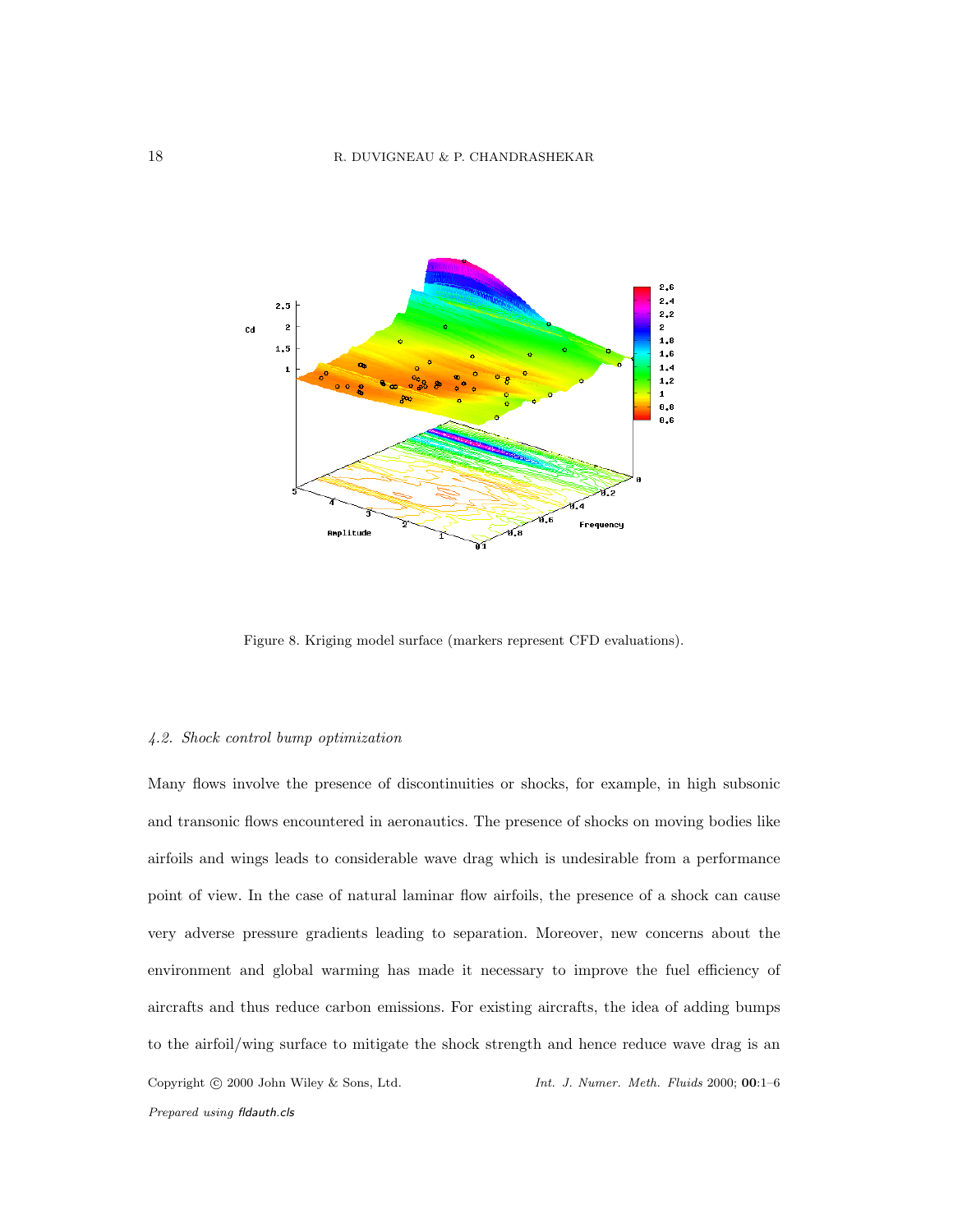

Figure 8. Kriging model surface (markers represent CFD evaluations).

#### 4.2. Shock control bump optimization

Many flows involve the presence of discontinuities or shocks, for example, in high subsonic and transonic flows encountered in aeronautics. The presence of shocks on moving bodies like airfoils and wings leads to considerable wave drag which is undesirable from a performance point of view. In the case of natural laminar flow airfoils, the presence of a shock can cause very adverse pressure gradients leading to separation. Moreover, new concerns about the environment and global warming has made it necessary to improve the fuel efficiency of aircrafts and thus reduce carbon emissions. For existing aircrafts, the idea of adding bumps to the airfoil/wing surface to mitigate the shock strength and hence reduce wave drag is an Copyright c 2000 John Wiley & Sons, Ltd. *Int. J. Numer. Meth. Fluids* 2000; 00:1–6 *Prepared using* fldauth.cls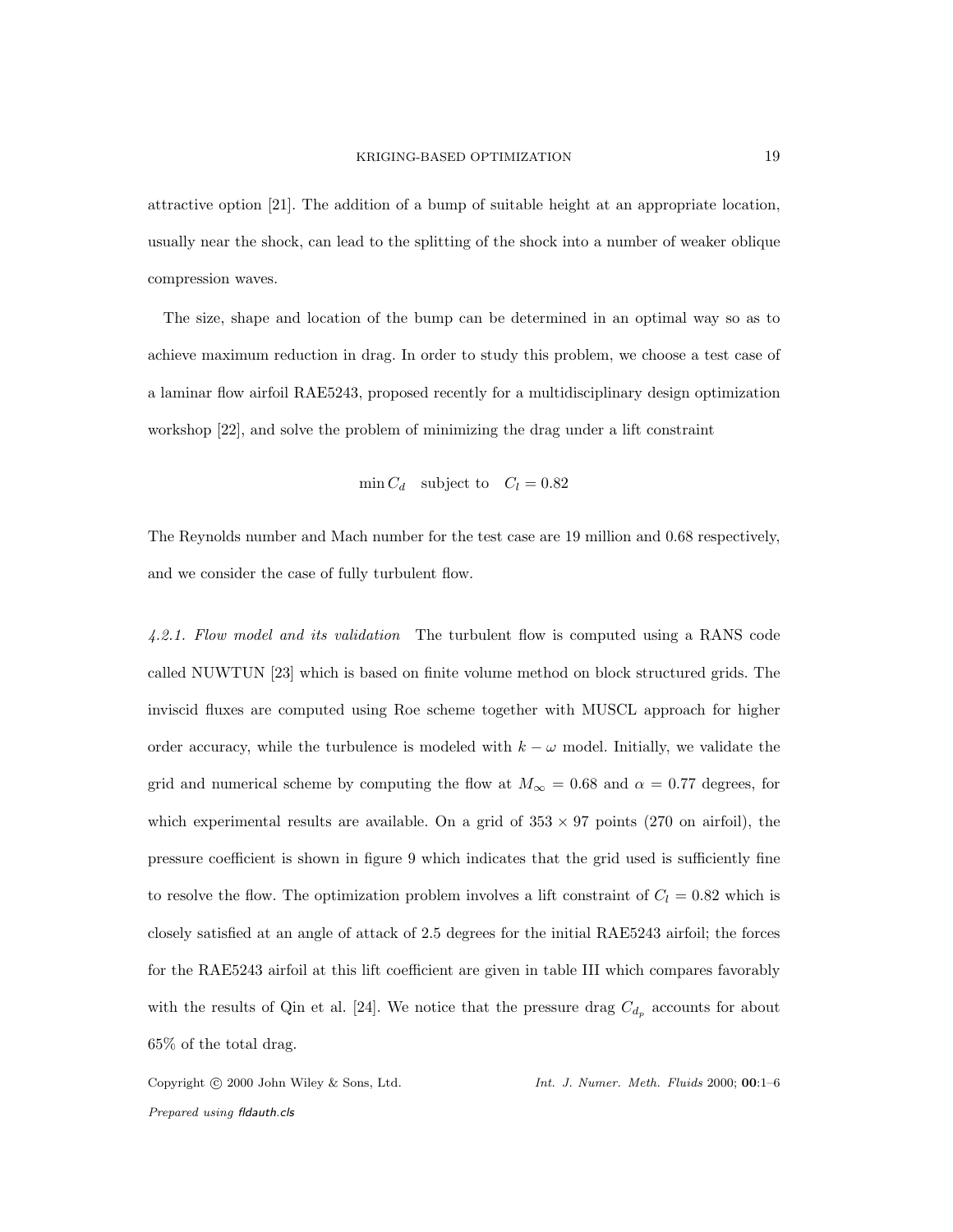attractive option [21]. The addition of a bump of suitable height at an appropriate location, usually near the shock, can lead to the splitting of the shock into a number of weaker oblique compression waves.

The size, shape and location of the bump can be determined in an optimal way so as to achieve maximum reduction in drag. In order to study this problem, we choose a test case of a laminar flow airfoil RAE5243, proposed recently for a multidisciplinary design optimization workshop [22], and solve the problem of minimizing the drag under a lift constraint

$$
\min C_d \quad \text{subject to} \quad C_l = 0.82
$$

The Reynolds number and Mach number for the test case are 19 million and 0.68 respectively, and we consider the case of fully turbulent flow.

4.2.1. Flow model and its validation The turbulent flow is computed using a RANS code called NUWTUN [23] which is based on finite volume method on block structured grids. The inviscid fluxes are computed using Roe scheme together with MUSCL approach for higher order accuracy, while the turbulence is modeled with  $k - \omega$  model. Initially, we validate the grid and numerical scheme by computing the flow at  $M_{\infty} = 0.68$  and  $\alpha = 0.77$  degrees, for which experimental results are available. On a grid of  $353 \times 97$  points (270 on airfoil), the pressure coefficient is shown in figure 9 which indicates that the grid used is sufficiently fine to resolve the flow. The optimization problem involves a lift constraint of  $C_l = 0.82$  which is closely satisfied at an angle of attack of 2.5 degrees for the initial RAE5243 airfoil; the forces for the RAE5243 airfoil at this lift coefficient are given in table III which compares favorably with the results of Qin et al. [24]. We notice that the pressure drag  $C_{d_p}$  accounts for about 65% of the total drag.

*Prepared using* fldauth.cls

Copyright c 2000 John Wiley & Sons, Ltd. *Int. J. Numer. Meth. Fluids* 2000; 00:1–6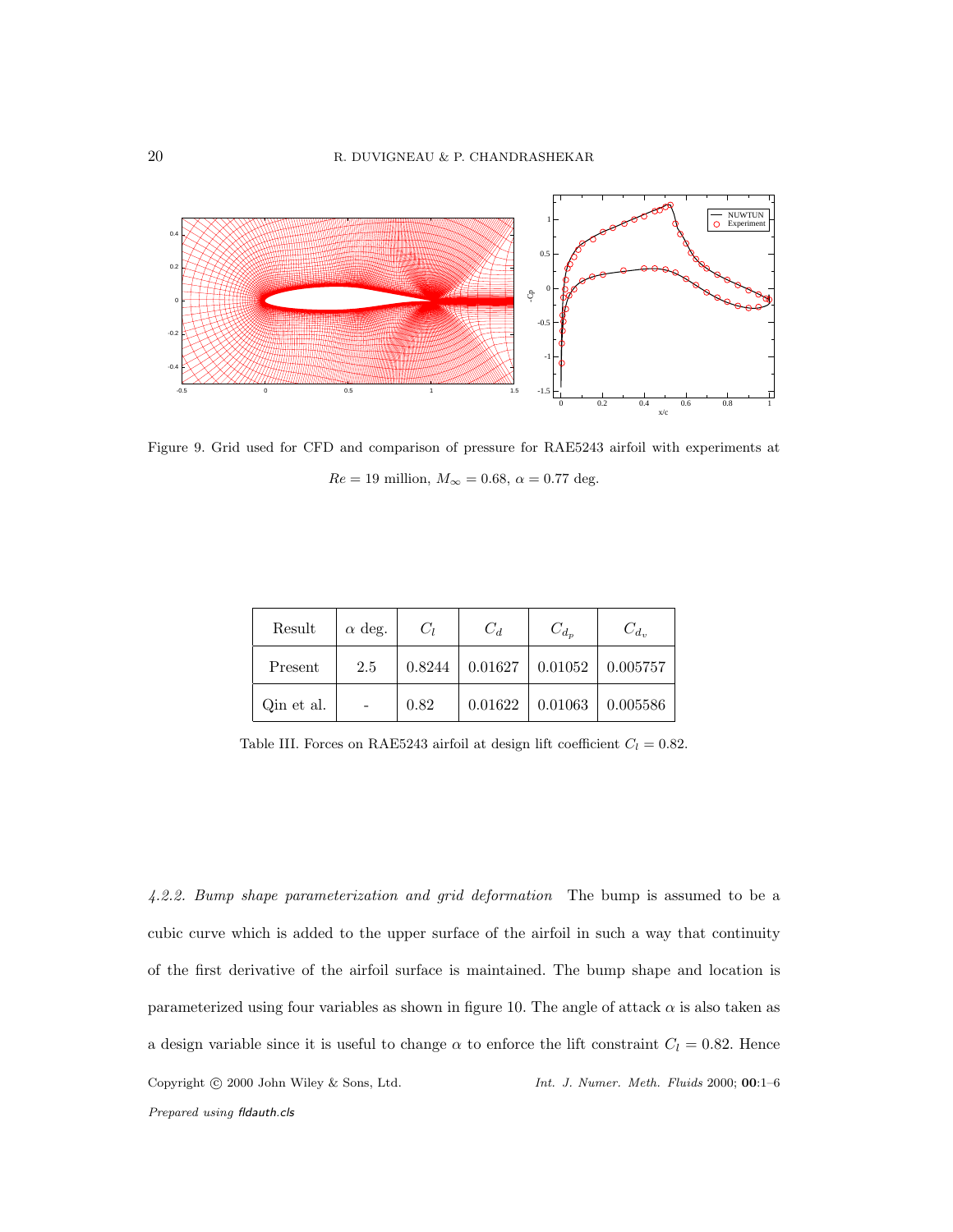

Figure 9. Grid used for CFD and comparison of pressure for RAE5243 airfoil with experiments at  $Re = 19$  million,  $M_{\infty} = 0.68$ ,  $\alpha = 0.77$  deg.

| Result     | $\alpha$ deg. | $C_l$  | $C_d$   | $C_{d_n}$ | $C_{d_n}$ |
|------------|---------------|--------|---------|-----------|-----------|
| Present    | 2.5           | 0.8244 | 0.01627 | 0.01052   | 0.005757  |
| Qin et al. |               | 0.82   | 0.01622 | 0.01063   | 0.005586  |

Table III. Forces on RAE5243 airfoil at design lift coefficient  $C_l = 0.82$ .

4.2.2. Bump shape parameterization and grid deformation The bump is assumed to be a cubic curve which is added to the upper surface of the airfoil in such a way that continuity of the first derivative of the airfoil surface is maintained. The bump shape and location is parameterized using four variables as shown in figure 10. The angle of attack  $\alpha$  is also taken as a design variable since it is useful to change  $\alpha$  to enforce the lift constraint  $C_l = 0.82$ . Hence Copyright c 2000 John Wiley & Sons, Ltd. *Int. J. Numer. Meth. Fluids* 2000; 00:1–6 *Prepared using* fldauth.cls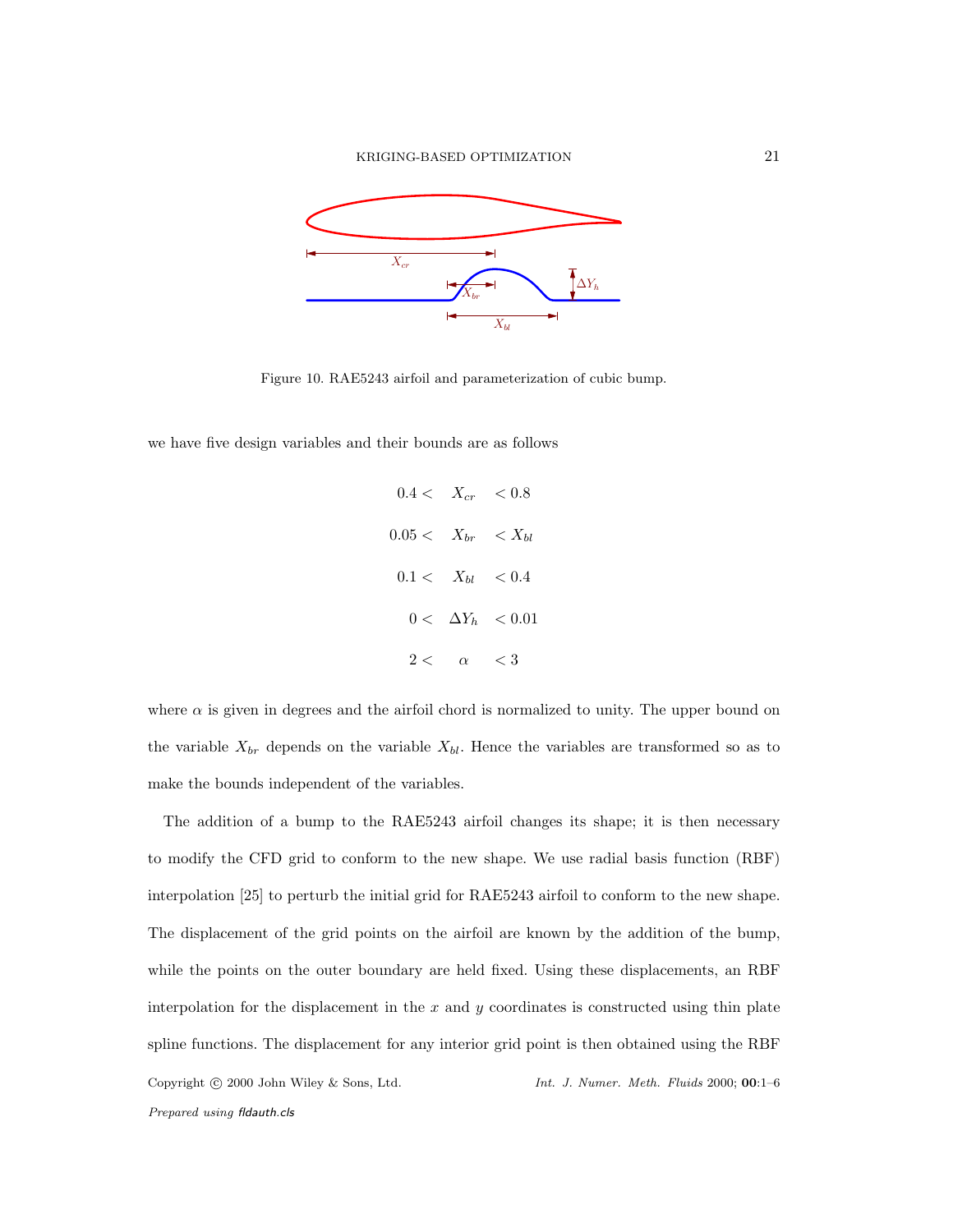

Figure 10. RAE5243 airfoil and parameterization of cubic bump.

we have five design variables and their bounds are as follows

$$
0.4 < X_{cr} < 0.8
$$
\n
$$
0.05 < X_{br} < X_{bl}
$$
\n
$$
0.1 < X_{bl} < 0.4
$$
\n
$$
0 < \Delta Y_h < 0.01
$$
\n
$$
2 < \alpha < 3
$$

where  $\alpha$  is given in degrees and the airfoil chord is normalized to unity. The upper bound on the variable  $X_{br}$  depends on the variable  $X_{bl}$ . Hence the variables are transformed so as to make the bounds independent of the variables.

The addition of a bump to the RAE5243 airfoil changes its shape; it is then necessary to modify the CFD grid to conform to the new shape. We use radial basis function (RBF) interpolation [25] to perturb the initial grid for RAE5243 airfoil to conform to the new shape. The displacement of the grid points on the airfoil are known by the addition of the bump, while the points on the outer boundary are held fixed. Using these displacements, an RBF interpolation for the displacement in the  $x$  and  $y$  coordinates is constructed using thin plate spline functions. The displacement for any interior grid point is then obtained using the RBF Copyright c 2000 John Wiley & Sons, Ltd. *Int. J. Numer. Meth. Fluids* 2000; 00:1–6 *Prepared using* fldauth.cls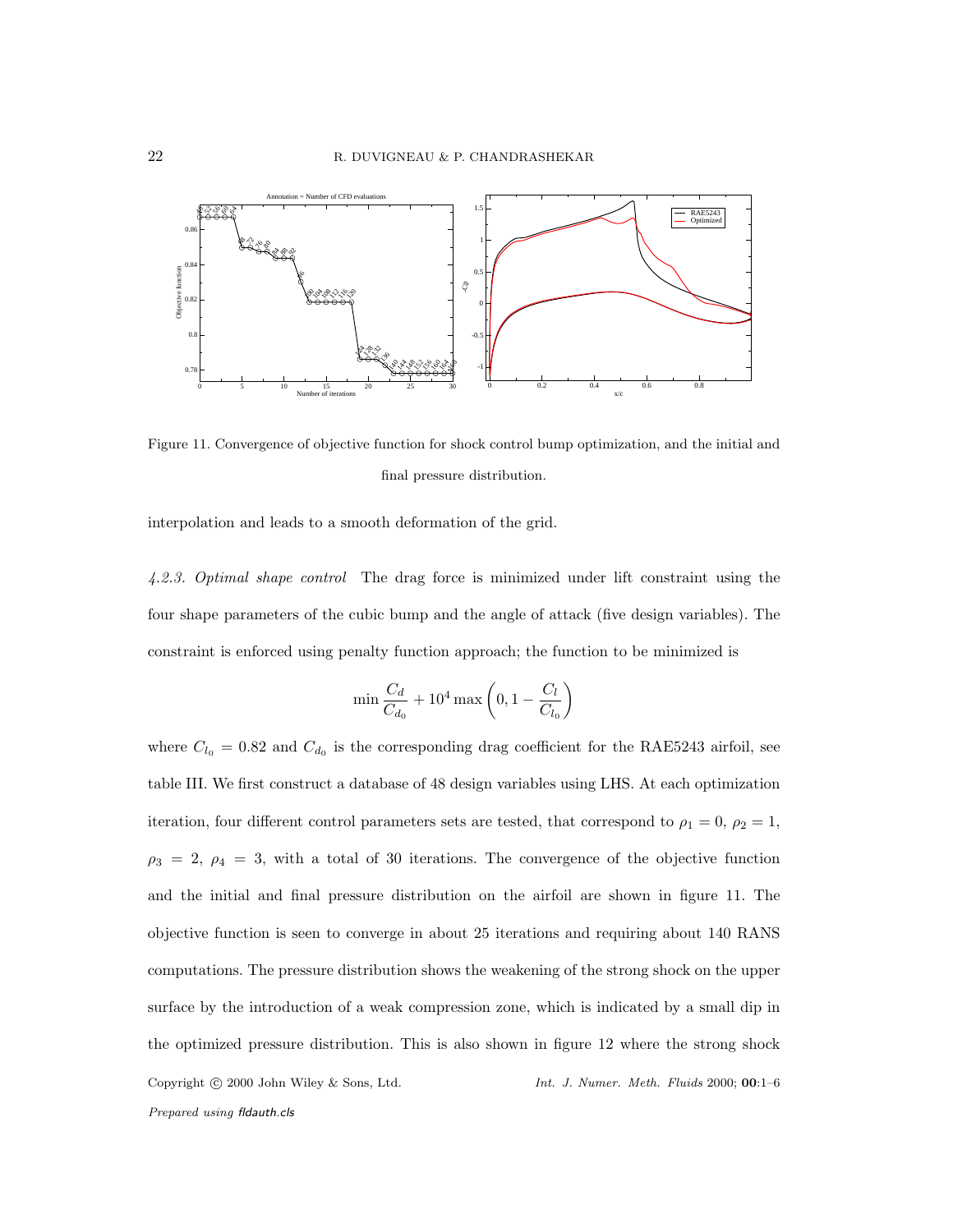

Figure 11. Convergence of objective function for shock control bump optimization, and the initial and final pressure distribution.

interpolation and leads to a smooth deformation of the grid.

4.2.3. Optimal shape control The drag force is minimized under lift constraint using the four shape parameters of the cubic bump and the angle of attack (five design variables). The constraint is enforced using penalty function approach; the function to be minimized is

$$
\min \frac{C_d}{C_{d_0}} + 10^4 \max \left(0, 1 - \frac{C_l}{C_{l_0}}\right)
$$

where  $C_{l_0} = 0.82$  and  $C_{d_0}$  is the corresponding drag coefficient for the RAE5243 airfoil, see table III. We first construct a database of 48 design variables using LHS. At each optimization iteration, four different control parameters sets are tested, that correspond to  $\rho_1 = 0$ ,  $\rho_2 = 1$ ,  $\rho_3 = 2, \ \rho_4 = 3$ , with a total of 30 iterations. The convergence of the objective function and the initial and final pressure distribution on the airfoil are shown in figure 11. The objective function is seen to converge in about 25 iterations and requiring about 140 RANS computations. The pressure distribution shows the weakening of the strong shock on the upper surface by the introduction of a weak compression zone, which is indicated by a small dip in the optimized pressure distribution. This is also shown in figure 12 where the strong shock Copyright c 2000 John Wiley & Sons, Ltd. *Int. J. Numer. Meth. Fluids* 2000; 00:1–6 *Prepared using* fldauth.cls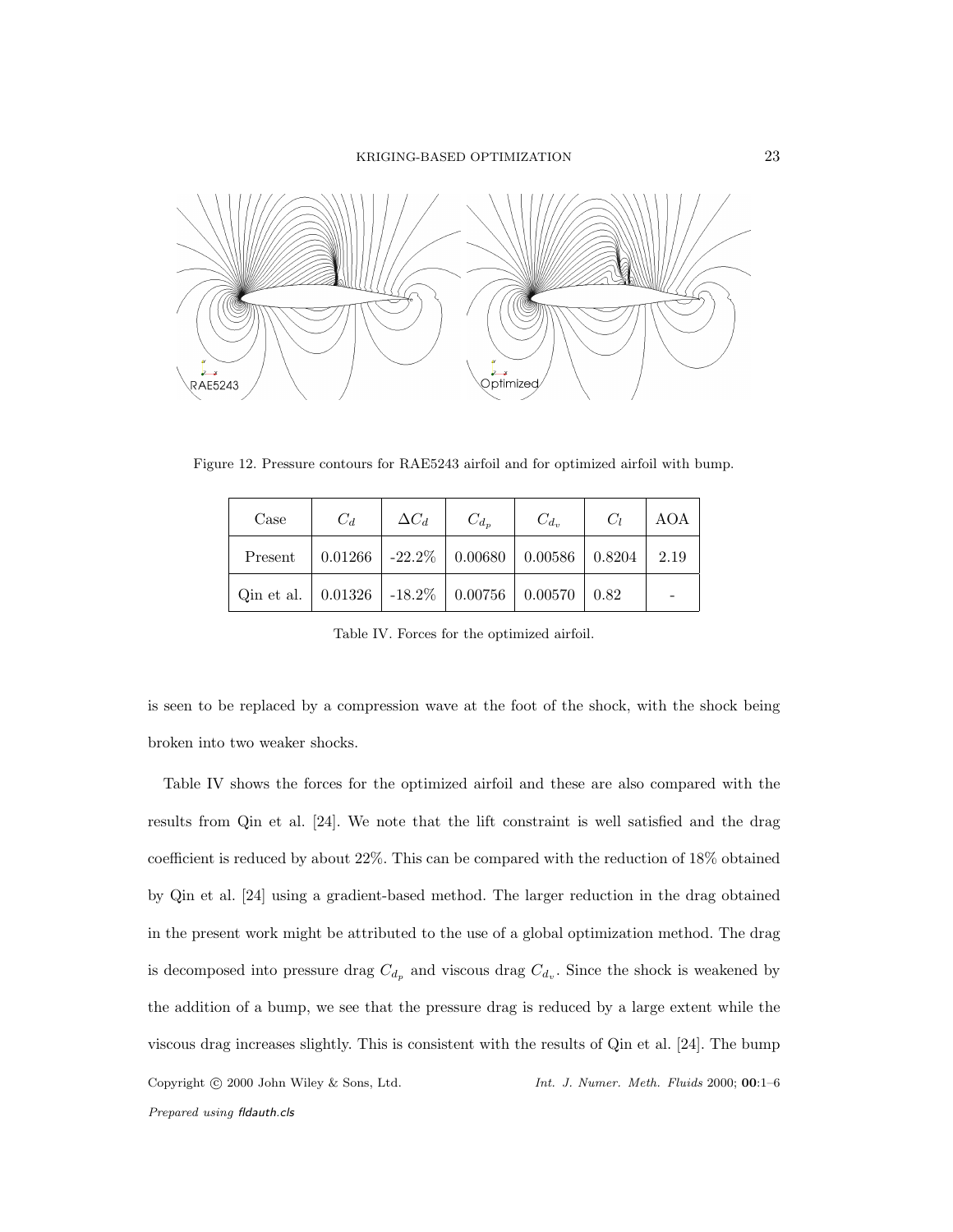KRIGING-BASED OPTIMIZATION 23



Figure 12. Pressure contours for RAE5243 airfoil and for optimized airfoil with bump.

| Case                                                                | $C_d$ | $\Delta C_d$ | $C_{d_n}$ | $C_{d_v}$                                               | $C_1$ | AOA |
|---------------------------------------------------------------------|-------|--------------|-----------|---------------------------------------------------------|-------|-----|
| Present                                                             |       |              |           | $0.01266$   -22.2\%   0.00680   0.00586   0.8204   2.19 |       |     |
| Qin et al.   $0.01326$   $-18.2\%$   $0.00756$   $0.00570$   $0.82$ |       |              |           |                                                         |       |     |

Table IV. Forces for the optimized airfoil.

is seen to be replaced by a compression wave at the foot of the shock, with the shock being broken into two weaker shocks.

Table IV shows the forces for the optimized airfoil and these are also compared with the results from Qin et al. [24]. We note that the lift constraint is well satisfied and the drag coefficient is reduced by about 22%. This can be compared with the reduction of 18% obtained by Qin et al. [24] using a gradient-based method. The larger reduction in the drag obtained in the present work might be attributed to the use of a global optimization method. The drag is decomposed into pressure drag  $C_{d_p}$  and viscous drag  $C_{d_v}$ . Since the shock is weakened by the addition of a bump, we see that the pressure drag is reduced by a large extent while the viscous drag increases slightly. This is consistent with the results of Qin et al. [24]. The bump Copyright c 2000 John Wiley & Sons, Ltd. *Int. J. Numer. Meth. Fluids* 2000; 00:1–6 *Prepared using* fldauth.cls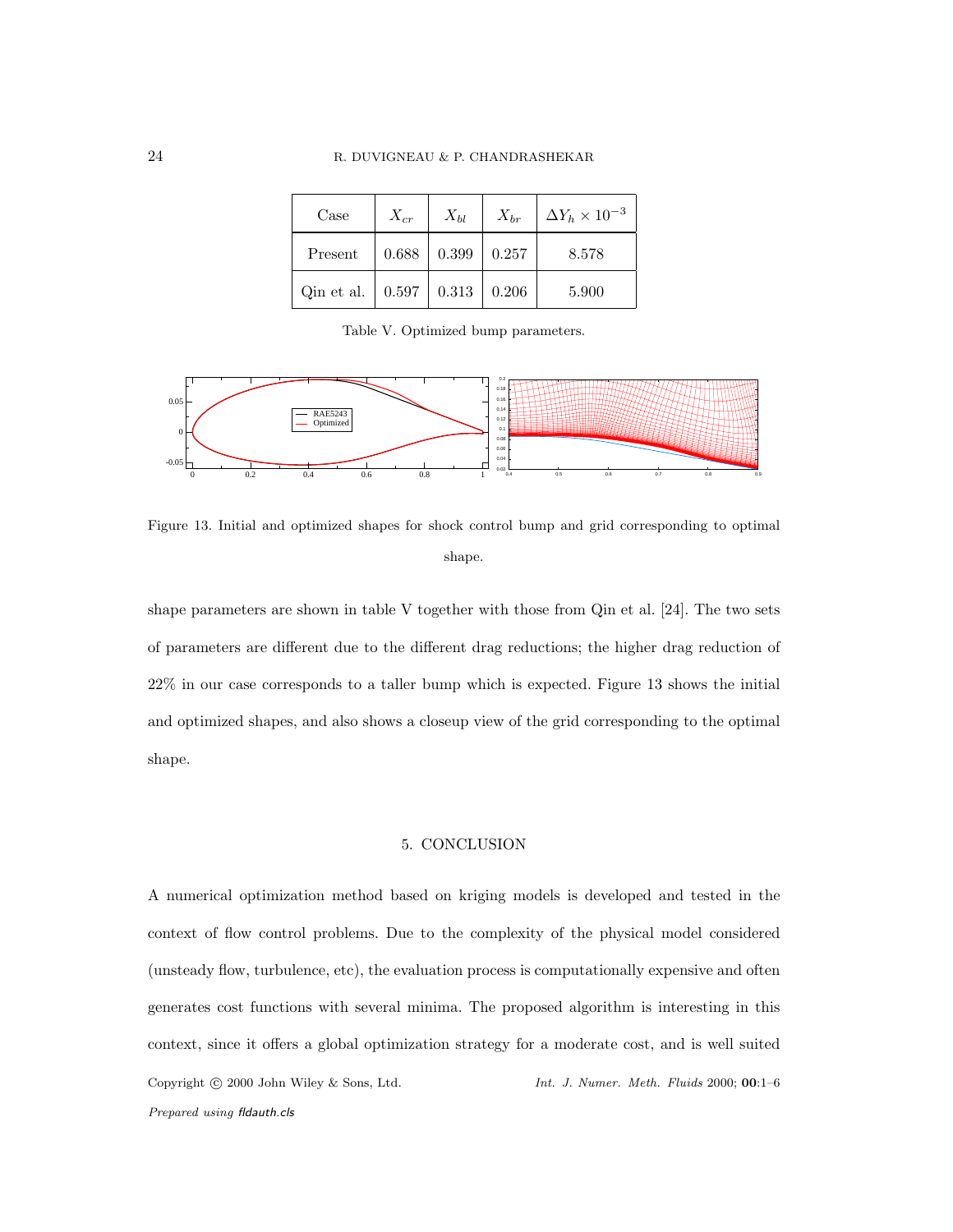| Case       | $X_{cr}$                  | $X_{bl}$ | $X_{hr}$ | $\Delta Y_h \times 10^{-3}$ |
|------------|---------------------------|----------|----------|-----------------------------|
| Present    | 0.688                     | 0.399    | 0.257    | 8.578                       |
| Qin et al. | $\mid$ 0.597 $\mid$ 0.313 |          | 0.206    | 5.900                       |

Table V. Optimized bump parameters.



Figure 13. Initial and optimized shapes for shock control bump and grid corresponding to optimal shape.

shape parameters are shown in table V together with those from Qin et al. [24]. The two sets of parameters are different due to the different drag reductions; the higher drag reduction of 22% in our case corresponds to a taller bump which is expected. Figure 13 shows the initial and optimized shapes, and also shows a closeup view of the grid corresponding to the optimal shape.

#### 5. CONCLUSION

A numerical optimization method based on kriging models is developed and tested in the context of flow control problems. Due to the complexity of the physical model considered (unsteady flow, turbulence, etc), the evaluation process is computationally expensive and often generates cost functions with several minima. The proposed algorithm is interesting in this context, since it offers a global optimization strategy for a moderate cost, and is well suited Copyright c 2000 John Wiley & Sons, Ltd. *Int. J. Numer. Meth. Fluids* 2000; 00:1–6 *Prepared using* fldauth.cls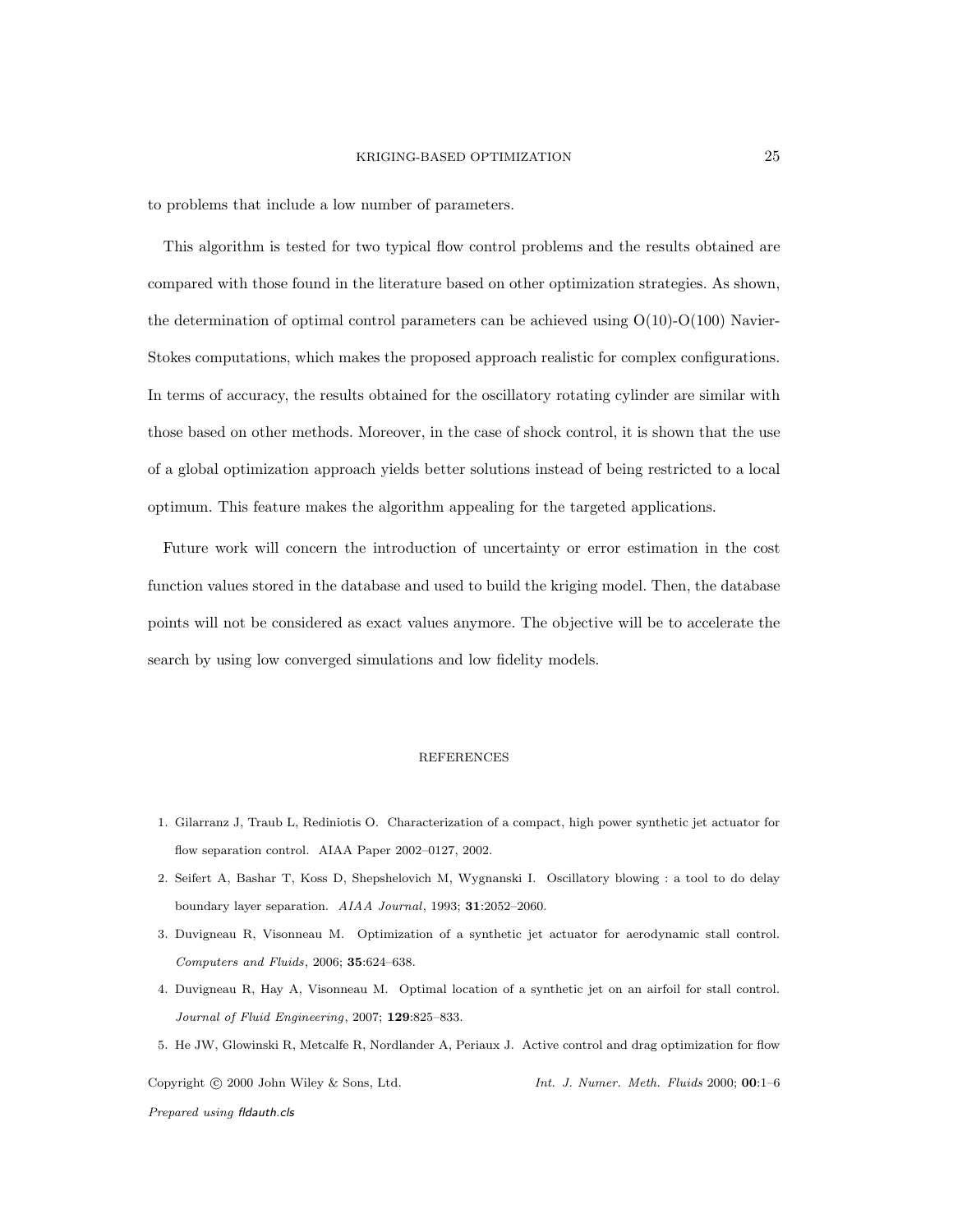to problems that include a low number of parameters.

This algorithm is tested for two typical flow control problems and the results obtained are compared with those found in the literature based on other optimization strategies. As shown, the determination of optimal control parameters can be achieved using  $O(10)-O(100)$  Navier-Stokes computations, which makes the proposed approach realistic for complex configurations. In terms of accuracy, the results obtained for the oscillatory rotating cylinder are similar with those based on other methods. Moreover, in the case of shock control, it is shown that the use of a global optimization approach yields better solutions instead of being restricted to a local optimum. This feature makes the algorithm appealing for the targeted applications.

Future work will concern the introduction of uncertainty or error estimation in the cost function values stored in the database and used to build the kriging model. Then, the database points will not be considered as exact values anymore. The objective will be to accelerate the search by using low converged simulations and low fidelity models.

# REFERENCES

- 1. Gilarranz J, Traub L, Rediniotis O. Characterization of a compact, high power synthetic jet actuator for flow separation control. AIAA Paper 2002–0127, 2002.
- 2. Seifert A, Bashar T, Koss D, Shepshelovich M, Wygnanski I. Oscillatory blowing : a tool to do delay boundary layer separation. *AIAA Journal*, 1993; 31:2052–2060.
- 3. Duvigneau R, Visonneau M. Optimization of a synthetic jet actuator for aerodynamic stall control. *Computers and Fluids*, 2006; 35:624–638.
- 4. Duvigneau R, Hay A, Visonneau M. Optimal location of a synthetic jet on an airfoil for stall control. *Journal of Fluid Engineering*, 2007; 129:825–833.
- 5. He JW, Glowinski R, Metcalfe R, Nordlander A, Periaux J. Active control and drag optimization for flow

Copyright c 2000 John Wiley & Sons, Ltd. *Int. J. Numer. Meth. Fluids* 2000; 00:1–6 *Prepared using* fldauth.cls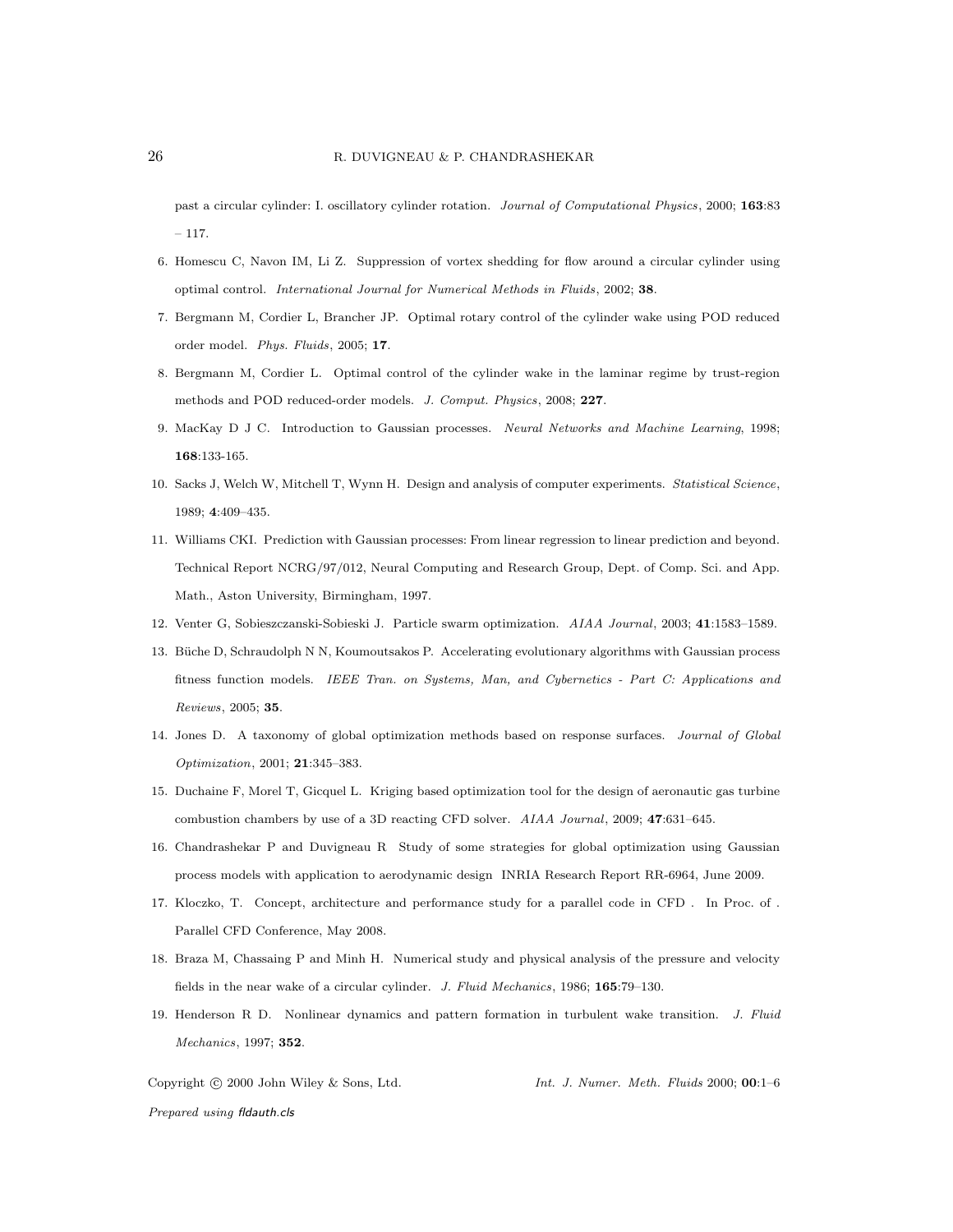past a circular cylinder: I. oscillatory cylinder rotation. *Journal of Computational Physics*, 2000; 163:83  $-117.$ 

- 6. Homescu C, Navon IM, Li Z. Suppression of vortex shedding for flow around a circular cylinder using optimal control. *International Journal for Numerical Methods in Fluids*, 2002; 38.
- 7. Bergmann M, Cordier L, Brancher JP. Optimal rotary control of the cylinder wake using POD reduced order model. *Phys. Fluids*, 2005; 17.
- 8. Bergmann M, Cordier L. Optimal control of the cylinder wake in the laminar regime by trust-region methods and POD reduced-order models. *J. Comput. Physics*, 2008; 227.
- 9. MacKay D J C. Introduction to Gaussian processes. *Neural Networks and Machine Learning*, 1998; 168:133-165.
- 10. Sacks J, Welch W, Mitchell T, Wynn H. Design and analysis of computer experiments. *Statistical Science*, 1989; 4:409–435.
- 11. Williams CKI. Prediction with Gaussian processes: From linear regression to linear prediction and beyond. Technical Report NCRG/97/012, Neural Computing and Research Group, Dept. of Comp. Sci. and App. Math., Aston University, Birmingham, 1997.
- 12. Venter G, Sobieszczanski-Sobieski J. Particle swarm optimization. *AIAA Journal*, 2003; 41:1583–1589.
- 13. Büche D, Schraudolph N N, Koumoutsakos P. Accelerating evolutionary algorithms with Gaussian process fitness function models. *IEEE Tran. on Systems, Man, and Cybernetics - Part C: Applications and Reviews*, 2005; 35.
- 14. Jones D. A taxonomy of global optimization methods based on response surfaces. *Journal of Global Optimization*, 2001; 21:345–383.
- 15. Duchaine F, Morel T, Gicquel L. Kriging based optimization tool for the design of aeronautic gas turbine combustion chambers by use of a 3D reacting CFD solver. *AIAA Journal*, 2009; 47:631–645.
- 16. Chandrashekar P and Duvigneau R Study of some strategies for global optimization using Gaussian process models with application to aerodynamic design INRIA Research Report RR-6964, June 2009.
- 17. Kloczko, T. Concept, architecture and performance study for a parallel code in CFD . In Proc. of . Parallel CFD Conference, May 2008.
- 18. Braza M, Chassaing P and Minh H. Numerical study and physical analysis of the pressure and velocity fields in the near wake of a circular cylinder. *J. Fluid Mechanics*, 1986; 165:79–130.
- 19. Henderson R D. Nonlinear dynamics and pattern formation in turbulent wake transition. *J. Fluid Mechanics*, 1997; 352.

Copyright c 2000 John Wiley & Sons, Ltd. *Int. J. Numer. Meth. Fluids* 2000; 00:1–6

*Prepared using* fldauth.cls